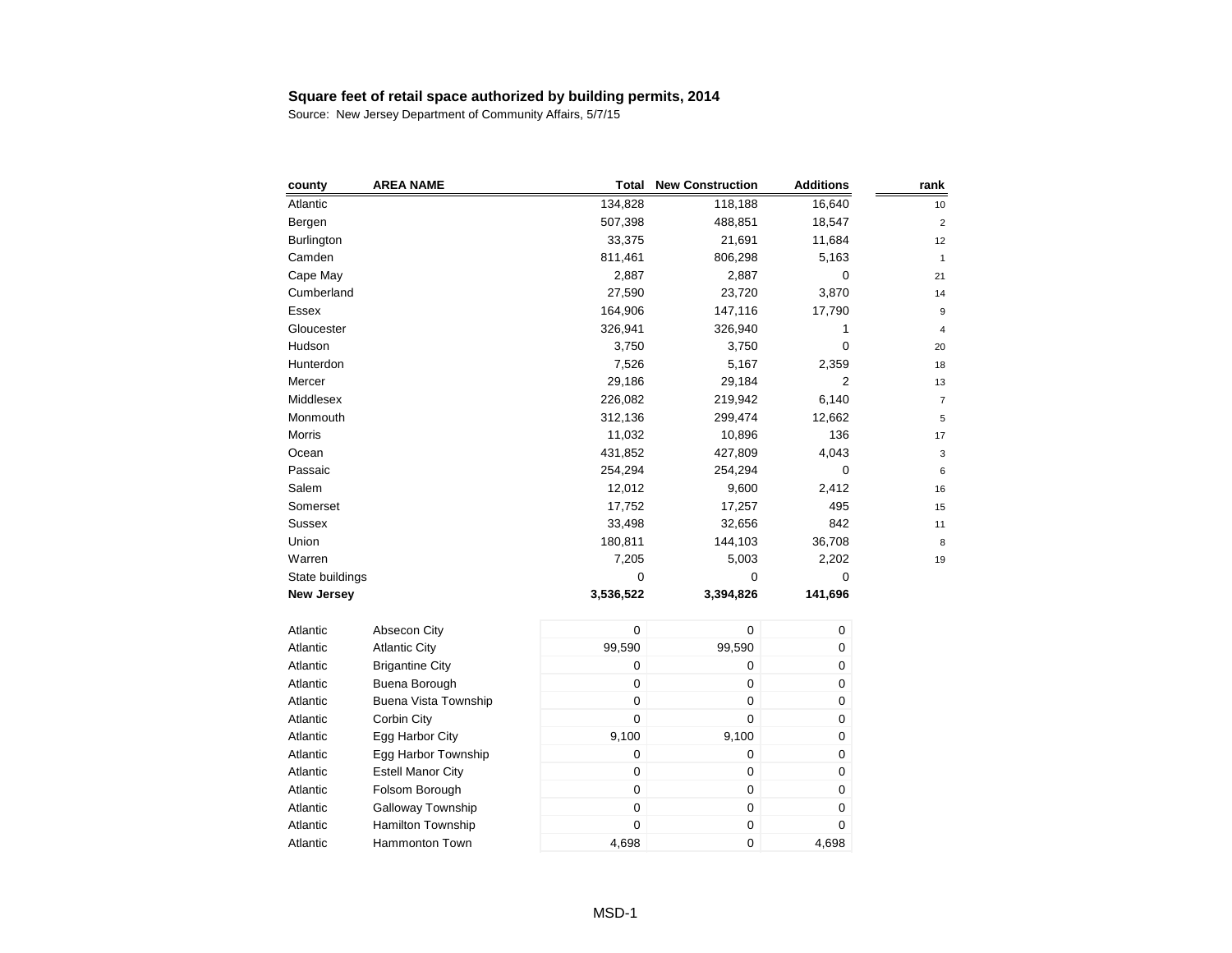| county            | <b>AREA NAME</b>         | <b>Total</b>     | <b>New Construction</b> | <b>Additions</b> | rank           |
|-------------------|--------------------------|------------------|-------------------------|------------------|----------------|
| Atlantic          |                          | 134,828          | 118,188                 | 16,640           | 10             |
| Bergen            |                          | 507,398          | 488,851                 | 18,547           | $\overline{c}$ |
| <b>Burlington</b> |                          | 33,375           | 21,691                  | 11,684           | 12             |
| Camden            |                          | 811,461          | 806,298                 | 5,163            | $\mathbf{1}$   |
| Cape May          |                          | 2,887            | 2,887                   | $\mathbf 0$      | 21             |
| Cumberland        |                          | 27,590           | 23,720                  | 3,870            | 14             |
| Essex             |                          | 164,906          | 147,116                 | 17,790           | 9              |
| Gloucester        |                          | 326,941          | 326,940                 | 1                | 4              |
| Hudson            |                          | 3,750            | 3,750                   | 0                | 20             |
| Hunterdon         |                          | 7,526            | 5,167                   | 2,359            | 18             |
| Mercer            |                          | 29,186           | 29,184                  | 2                | 13             |
| Middlesex         |                          | 226,082          | 219,942                 | 6,140            | $\overline{7}$ |
| Monmouth          |                          | 312,136          | 299,474                 | 12,662           | 5              |
| <b>Morris</b>     |                          | 11,032           | 10,896                  | 136              | 17             |
| Ocean             |                          | 431,852          | 427,809                 | 4,043            | 3              |
| Passaic           |                          | 254,294          | 254,294                 | $\mathbf 0$      | 6              |
| Salem             |                          | 12,012           | 9,600                   | 2,412            | 16             |
| Somerset          |                          | 17,752           | 17,257                  | 495              | 15             |
| Sussex            |                          | 33,498           | 32,656                  | 842              | 11             |
| Union             |                          | 180,811          | 144,103                 | 36,708           | 8              |
| Warren            |                          | 7,205            | 5,003                   | 2,202            | 19             |
| State buildings   |                          | 0                | 0                       | 0                |                |
| <b>New Jersey</b> |                          | 3,536,522        | 3,394,826               | 141,696          |                |
| Atlantic          | Absecon City             | $\pmb{0}$        | 0                       | 0                |                |
| Atlantic          | <b>Atlantic City</b>     | 99,590           | 99,590                  | 0                |                |
| Atlantic          | <b>Brigantine City</b>   | 0                | 0                       | 0                |                |
| Atlantic          | Buena Borough            | 0                | 0                       | 0                |                |
| Atlantic          | Buena Vista Township     | $\mathbf 0$      | 0                       | 0                |                |
| Atlantic          | Corbin City              | $\mathbf 0$      | 0                       | 0                |                |
| Atlantic          | Egg Harbor City          | 9,100            | 9,100                   | 0                |                |
| Atlantic          | Egg Harbor Township      | $\mathbf 0$      | 0                       | 0                |                |
| Atlantic          | <b>Estell Manor City</b> | $\boldsymbol{0}$ | 0                       | 0                |                |
| Atlantic          | Folsom Borough           | $\pmb{0}$        | 0                       | 0                |                |
| Atlantic          | Galloway Township        | $\pmb{0}$        | 0                       | 0                |                |
| Atlantic          | <b>Hamilton Township</b> | $\mathbf 0$      | 0                       | 0                |                |
| Atlantic          | <b>Hammonton Town</b>    | 4,698            | 0                       | 4,698            |                |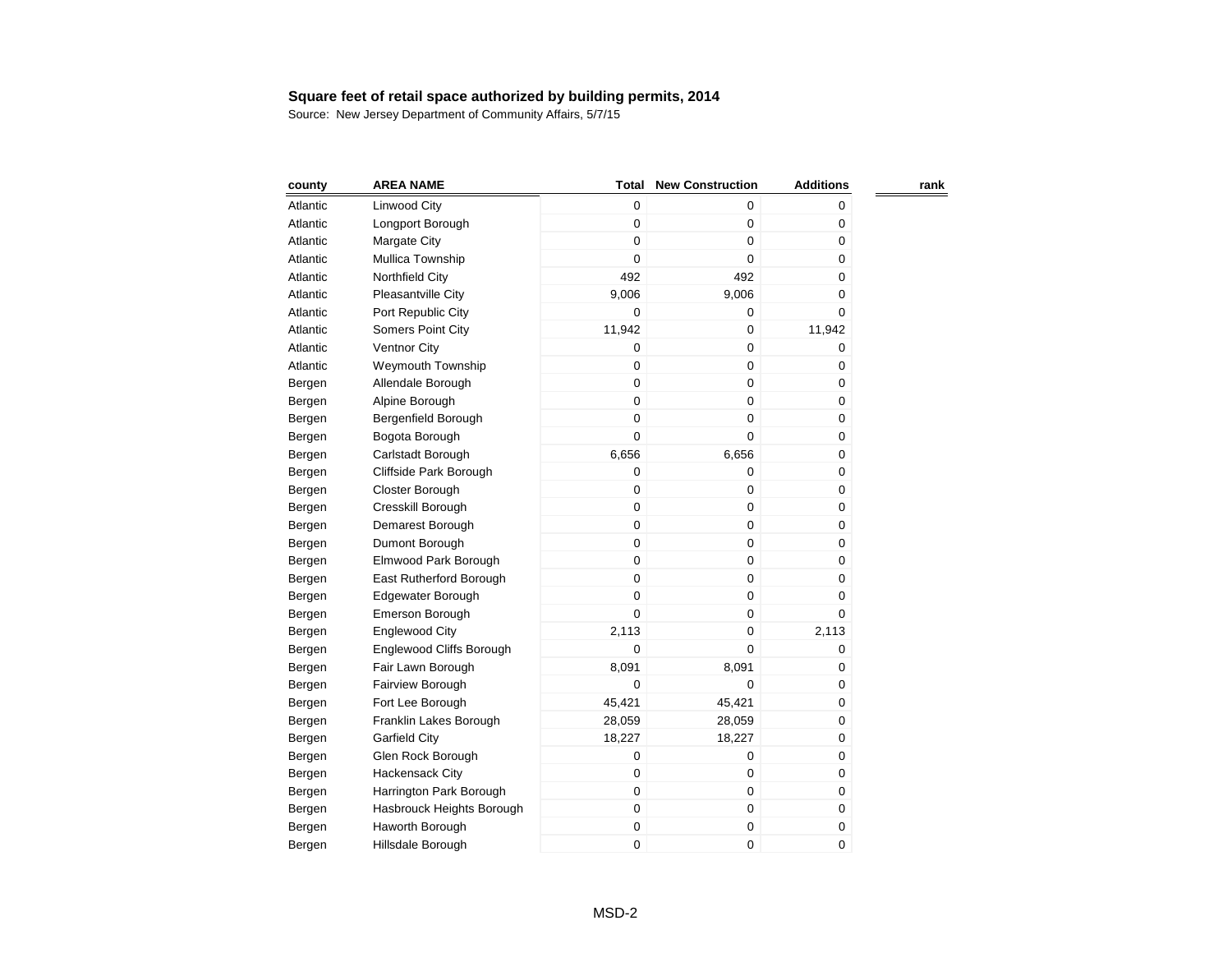| county   | <b>AREA NAME</b>                | <b>Total</b> | <b>New Construction</b> | <b>Additions</b> | rank |
|----------|---------------------------------|--------------|-------------------------|------------------|------|
| Atlantic | Linwood City                    | $\mathbf 0$  | 0                       | 0                |      |
| Atlantic | Longport Borough                | 0            | 0                       | 0                |      |
| Atlantic | Margate City                    | 0            | 0                       | 0                |      |
| Atlantic | Mullica Township                | $\mathsf 0$  | 0                       | 0                |      |
| Atlantic | Northfield City                 | 492          | 492                     | 0                |      |
| Atlantic | Pleasantville City              | 9,006        | 9,006                   | 0                |      |
| Atlantic | Port Republic City              | 0            | 0                       | 0                |      |
| Atlantic | Somers Point City               | 11,942       | 0                       | 11,942           |      |
| Atlantic | Ventnor City                    | 0            | 0                       | 0                |      |
| Atlantic | <b>Weymouth Township</b>        | 0            | $\mathbf 0$             | 0                |      |
| Bergen   | Allendale Borough               | $\mathbf 0$  | 0                       | 0                |      |
| Bergen   | Alpine Borough                  | $\mathbf 0$  | 0                       | 0                |      |
| Bergen   | Bergenfield Borough             | 0            | 0                       | 0                |      |
| Bergen   | Bogota Borough                  | 0            | 0                       | 0                |      |
| Bergen   | Carlstadt Borough               | 6,656        | 6,656                   | 0                |      |
| Bergen   | Cliffside Park Borough          | 0            | 0                       | 0                |      |
| Bergen   | Closter Borough                 | 0            | 0                       | 0                |      |
| Bergen   | Cresskill Borough               | $\mathbf 0$  | 0                       | $\pmb{0}$        |      |
| Bergen   | Demarest Borough                | $\mathbf 0$  | 0                       | 0                |      |
| Bergen   | Dumont Borough                  | 0            | 0                       | 0                |      |
| Bergen   | Elmwood Park Borough            | 0            | 0                       | 0                |      |
| Bergen   | East Rutherford Borough         | 0            | 0                       | 0                |      |
| Bergen   | Edgewater Borough               | $\mathbf 0$  | 0                       | 0                |      |
| Bergen   | Emerson Borough                 | $\mathbf 0$  | 0                       | 0                |      |
| Bergen   | <b>Englewood City</b>           | 2,113        | 0                       | 2,113            |      |
| Bergen   | <b>Englewood Cliffs Borough</b> | 0            | 0                       | 0                |      |
| Bergen   | Fair Lawn Borough               | 8,091        | 8,091                   | 0                |      |
| Bergen   | Fairview Borough                | 0            | 0                       | 0                |      |
| Bergen   | Fort Lee Borough                | 45,421       | 45,421                  | 0                |      |
| Bergen   | Franklin Lakes Borough          | 28,059       | 28,059                  | 0                |      |
| Bergen   | <b>Garfield City</b>            | 18,227       | 18,227                  | 0                |      |
| Bergen   | Glen Rock Borough               | 0            | 0                       | 0                |      |
| Bergen   | Hackensack City                 | 0            | 0                       | 0                |      |
| Bergen   | Harrington Park Borough         | 0            | 0                       | 0                |      |
| Bergen   | Hasbrouck Heights Borough       | 0            | 0                       | 0                |      |
| Bergen   | Haworth Borough                 | 0            | 0                       | 0                |      |
| Bergen   | Hillsdale Borough               | 0            | 0                       | 0                |      |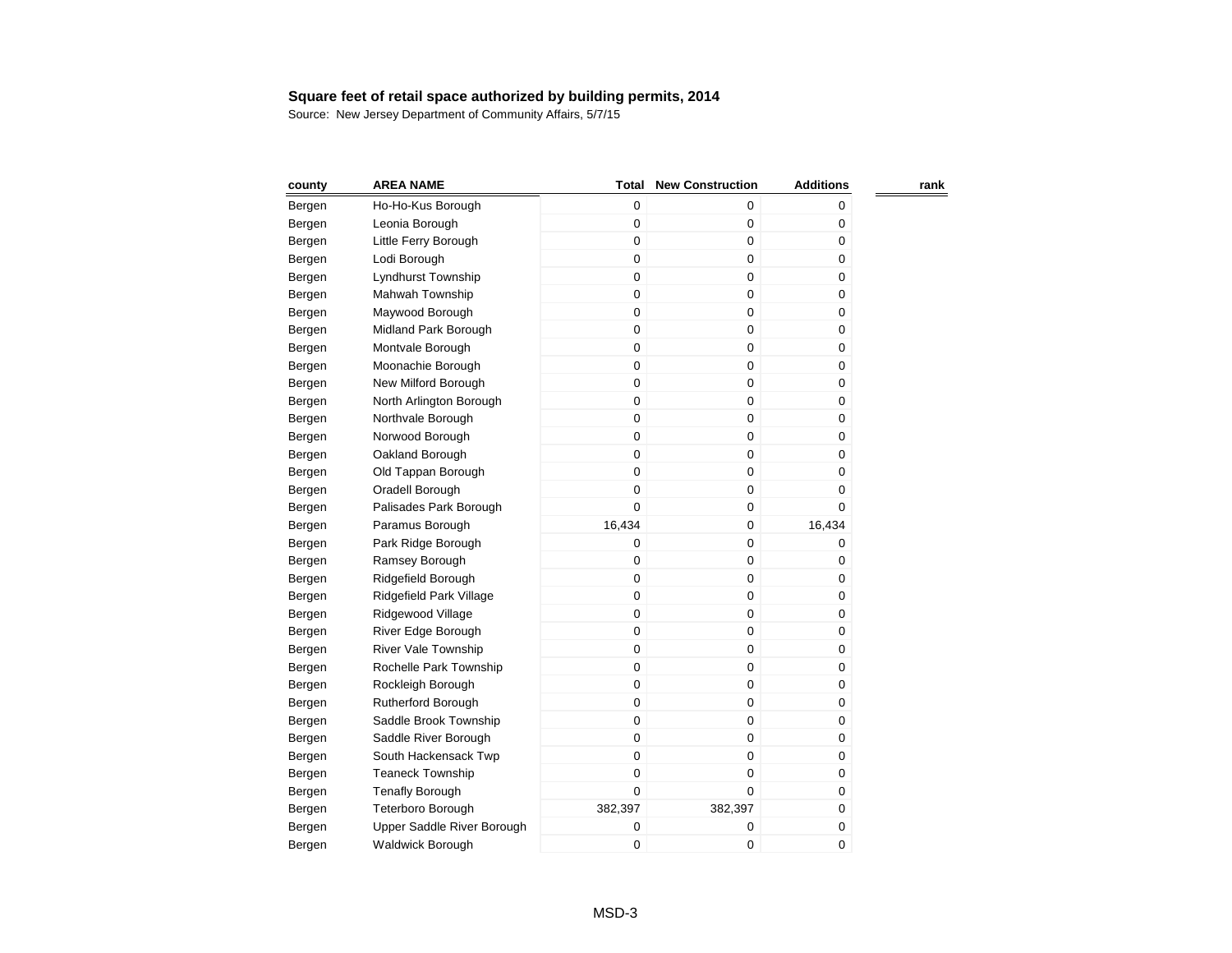| county | <b>AREA NAME</b>           | <b>Total</b> | <b>New Construction</b> | <b>Additions</b> | rank |
|--------|----------------------------|--------------|-------------------------|------------------|------|
| Bergen | Ho-Ho-Kus Borough          | 0            | 0                       | 0                |      |
| Bergen | Leonia Borough             | 0            | 0                       | 0                |      |
| Bergen | Little Ferry Borough       | 0            | 0                       | 0                |      |
| Bergen | Lodi Borough               | 0            | 0                       | 0                |      |
| Bergen | Lyndhurst Township         | 0            | 0                       | 0                |      |
| Bergen | Mahwah Township            | 0            | 0                       | 0                |      |
| Bergen | Maywood Borough            | 0            | 0                       | 0                |      |
| Bergen | Midland Park Borough       | 0            | 0                       | 0                |      |
| Bergen | Montvale Borough           | 0            | 0                       | 0                |      |
| Bergen | Moonachie Borough          | $\mathbf 0$  | 0                       | 0                |      |
| Bergen | New Milford Borough        | 0            | 0                       | 0                |      |
| Bergen | North Arlington Borough    | 0            | 0                       | 0                |      |
| Bergen | Northvale Borough          | $\mathsf 0$  | 0                       | 0                |      |
| Bergen | Norwood Borough            | 0            | 0                       | 0                |      |
| Bergen | Oakland Borough            | 0            | 0                       | 0                |      |
| Bergen | Old Tappan Borough         | 0            | 0                       | 0                |      |
| Bergen | Oradell Borough            | $\mathbf 0$  | 0                       | 0                |      |
| Bergen | Palisades Park Borough     | $\mathbf 0$  | 0                       | 0                |      |
| Bergen | Paramus Borough            | 16,434       | 0                       | 16,434           |      |
| Bergen | Park Ridge Borough         | 0            | 0                       | 0                |      |
| Bergen | Ramsey Borough             | 0            | 0                       | 0                |      |
| Bergen | Ridgefield Borough         | 0            | 0                       | 0                |      |
| Bergen | Ridgefield Park Village    | 0            | 0                       | 0                |      |
| Bergen | Ridgewood Village          | 0            | 0                       | 0                |      |
| Bergen | River Edge Borough         | 0            | 0                       | 0                |      |
| Bergen | <b>River Vale Township</b> | 0            | 0                       | 0                |      |
| Bergen | Rochelle Park Township     | 0            | 0                       | 0                |      |
| Bergen | Rockleigh Borough          | 0            | 0                       | 0                |      |
| Bergen | Rutherford Borough         | 0            | 0                       | 0                |      |
| Bergen | Saddle Brook Township      | 0            | 0                       | 0                |      |
| Bergen | Saddle River Borough       | 0            | 0                       | 0                |      |
| Bergen | South Hackensack Twp       | 0            | 0                       | 0                |      |
| Bergen | <b>Teaneck Township</b>    | $\mathbf 0$  | 0                       | 0                |      |
| Bergen | <b>Tenafly Borough</b>     | 0            | 0                       | 0                |      |
| Bergen | Teterboro Borough          | 382,397      | 382,397                 | 0                |      |
| Bergen | Upper Saddle River Borough | 0            | 0                       | 0                |      |
| Bergen | <b>Waldwick Borough</b>    | 0            | 0                       | 0                |      |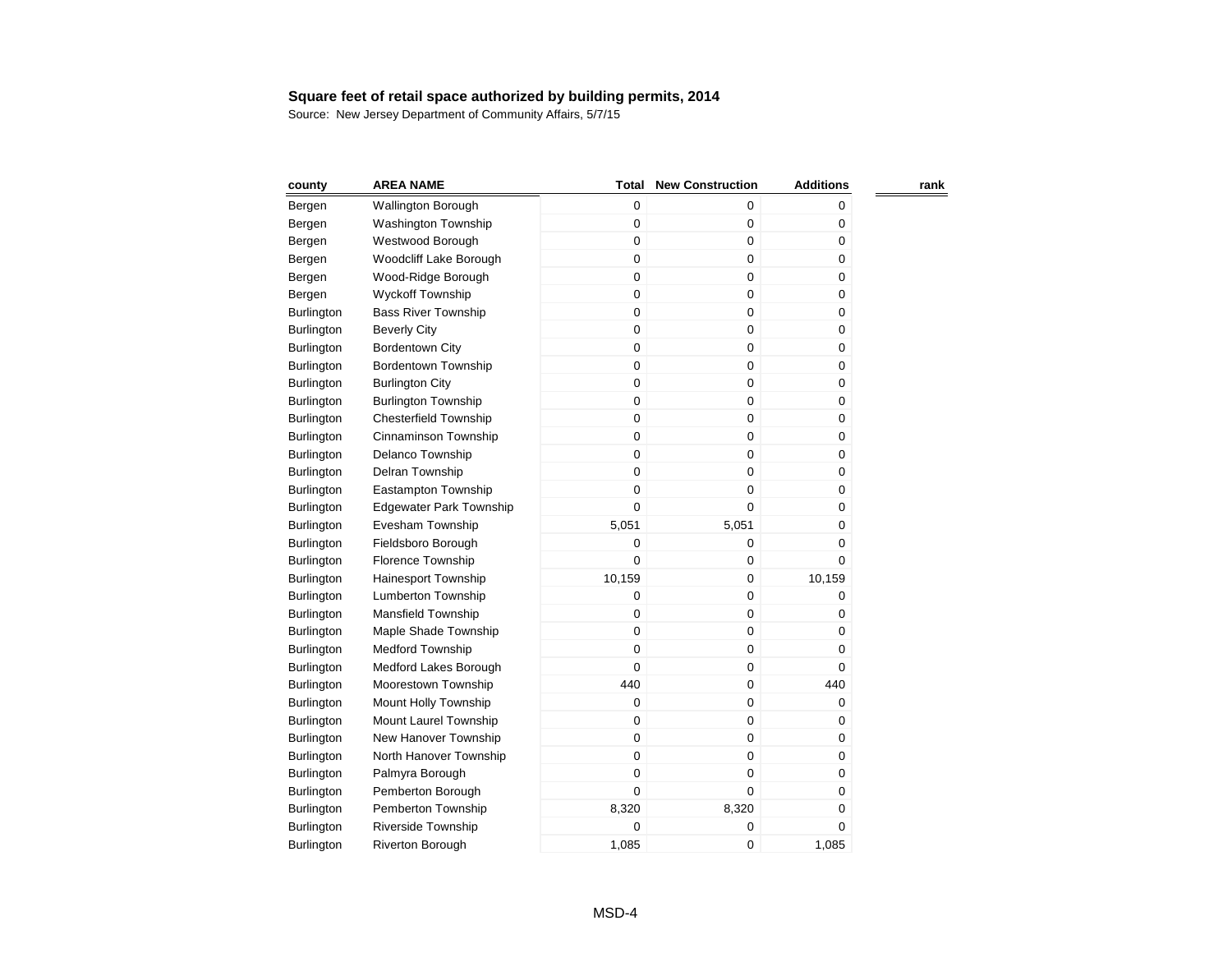| county            | <b>AREA NAME</b>               | Total       | <b>New Construction</b> | <b>Additions</b> | rank |
|-------------------|--------------------------------|-------------|-------------------------|------------------|------|
| Bergen            | <b>Wallington Borough</b>      | $\mathbf 0$ | $\pmb{0}$               | 0                |      |
| Bergen            | <b>Washington Township</b>     | 0           | $\pmb{0}$               | 0                |      |
| Bergen            | Westwood Borough               | 0           | $\pmb{0}$               | 0                |      |
| Bergen            | Woodcliff Lake Borough         | 0           | $\pmb{0}$               | 0                |      |
| Bergen            | Wood-Ridge Borough             | 0           | 0                       | 0                |      |
| Bergen            | <b>Wyckoff Township</b>        | $\mathbf 0$ | $\mathbf 0$             | 0                |      |
| <b>Burlington</b> | <b>Bass River Township</b>     | $\mathsf 0$ | $\mathbf 0$             | 0                |      |
| <b>Burlington</b> | <b>Beverly City</b>            | $\mathbf 0$ | $\mathbf 0$             | 0                |      |
| <b>Burlington</b> | <b>Bordentown City</b>         | $\mathbf 0$ | $\mathbf 0$             | 0                |      |
| <b>Burlington</b> | <b>Bordentown Township</b>     | $\mathbf 0$ | $\mathbf 0$             | 0                |      |
| <b>Burlington</b> | <b>Burlington City</b>         | $\mathbf 0$ | $\pmb{0}$               | 0                |      |
| <b>Burlington</b> | <b>Burlington Township</b>     | $\mathbf 0$ | $\pmb{0}$               | 0                |      |
| Burlington        | <b>Chesterfield Township</b>   | 0           | $\pmb{0}$               | 0                |      |
| Burlington        | Cinnaminson Township           | $\mathbf 0$ | $\mathbf 0$             | 0                |      |
| Burlington        | Delanco Township               | $\mathbf 0$ | $\mathbf 0$             | 0                |      |
| <b>Burlington</b> | Delran Township                | $\mathbf 0$ | $\mathbf 0$             | 0                |      |
| <b>Burlington</b> | Eastampton Township            | $\mathbf 0$ | $\mathbf 0$             | 0                |      |
| <b>Burlington</b> | <b>Edgewater Park Township</b> | $\mathbf 0$ | $\mathbf 0$             | 0                |      |
| <b>Burlington</b> | Evesham Township               | 5,051       | 5,051                   | 0                |      |
| <b>Burlington</b> | Fieldsboro Borough             | 0           | 0                       | 0                |      |
| Burlington        | Florence Township              | 0           | 0                       | 0                |      |
| Burlington        | Hainesport Township            | 10,159      | $\mathbf 0$             | 10,159           |      |
| <b>Burlington</b> | Lumberton Township             | 0           | 0                       | 0                |      |
| <b>Burlington</b> | Mansfield Township             | 0           | $\mathbf 0$             | 0                |      |
| <b>Burlington</b> | Maple Shade Township           | $\mathbf 0$ | $\pmb{0}$               | 0                |      |
| <b>Burlington</b> | <b>Medford Township</b>        | $\mathbf 0$ | $\mathbf 0$             | 0                |      |
| <b>Burlington</b> | Medford Lakes Borough          | 0           | $\pmb{0}$               | 0                |      |
| Burlington        | Moorestown Township            | 440         | $\pmb{0}$               | 440              |      |
| Burlington        | Mount Holly Township           | $\mathbf 0$ | $\mathbf 0$             | 0                |      |
| Burlington        | Mount Laurel Township          | $\mathbf 0$ | $\mathbf 0$             | 0                |      |
| Burlington        | New Hanover Township           | 0           | 0                       | 0                |      |
| Burlington        | North Hanover Township         | 0           | $\mathbf 0$             | 0                |      |
| <b>Burlington</b> | Palmyra Borough                | $\mathbf 0$ | $\mathbf 0$             | 0                |      |
| <b>Burlington</b> | Pemberton Borough              | $\mathbf 0$ | $\mathbf 0$             | 0                |      |
| <b>Burlington</b> | Pemberton Township             | 8,320       | 8,320                   | 0                |      |
| <b>Burlington</b> | <b>Riverside Township</b>      | 0           | 0                       | 0                |      |
| <b>Burlington</b> | Riverton Borough               | 1,085       | 0                       | 1,085            |      |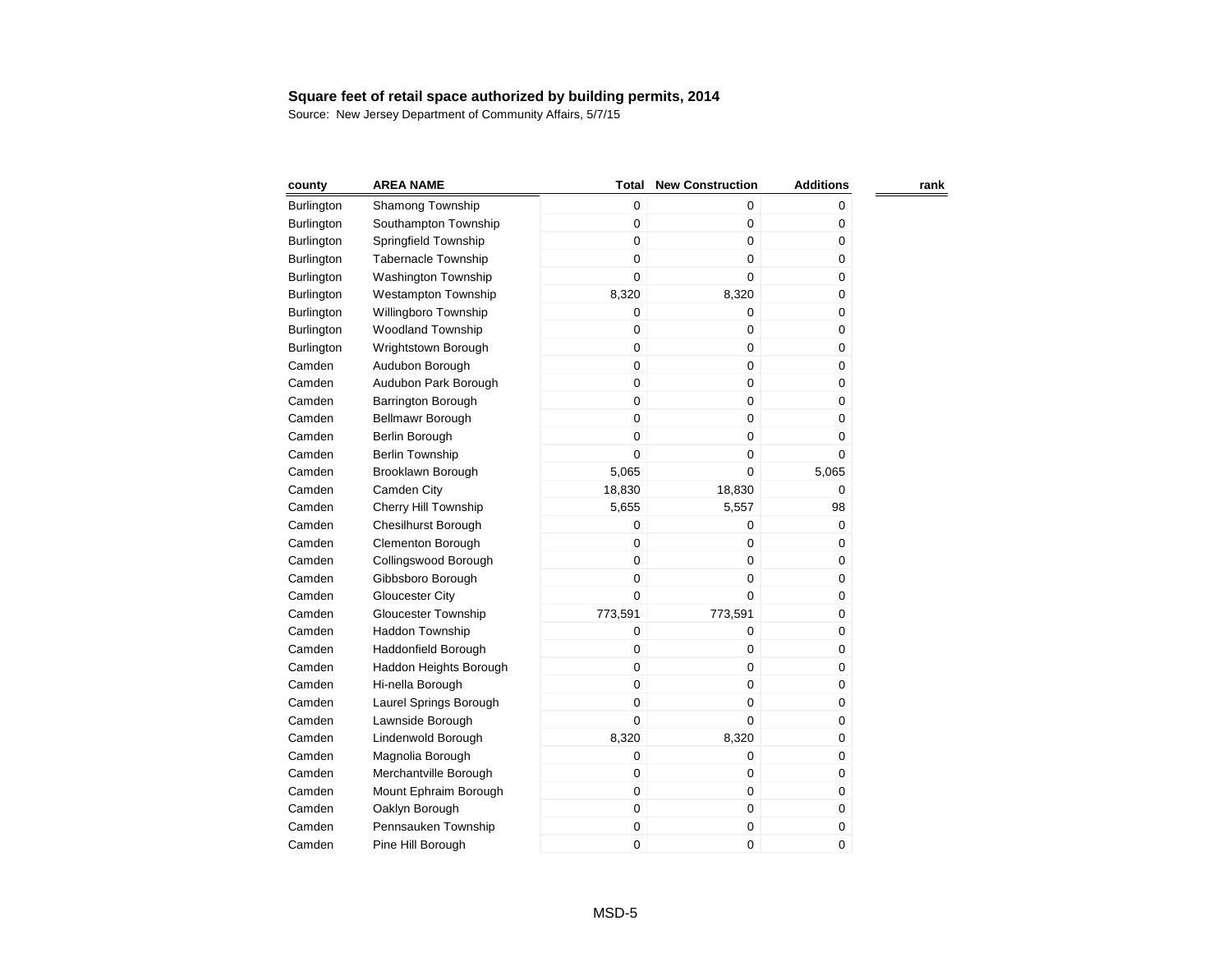| county            | <b>AREA NAME</b>           | Total       | <b>New Construction</b> | <b>Additions</b> | rank |
|-------------------|----------------------------|-------------|-------------------------|------------------|------|
| Burlington        | Shamong Township           | 0           | 0                       | 0                |      |
| <b>Burlington</b> | Southampton Township       | $\mathbf 0$ | $\pmb{0}$               | 0                |      |
| Burlington        | Springfield Township       | $\mathbf 0$ | $\mathbf 0$             | $\pmb{0}$        |      |
| Burlington        | <b>Tabernacle Township</b> | $\mathbf 0$ | $\mathbf 0$             | 0                |      |
| Burlington        | <b>Washington Township</b> | $\mathbf 0$ | $\Omega$                | 0                |      |
| Burlington        | <b>Westampton Township</b> | 8,320       | 8,320                   | 0                |      |
| Burlington        | Willingboro Township       | $\mathbf 0$ | 0                       | $\pmb{0}$        |      |
| Burlington        | <b>Woodland Township</b>   | $\mathbf 0$ | $\mathbf 0$             | $\mathbf 0$      |      |
| Burlington        | Wrightstown Borough        | $\mathbf 0$ | $\pmb{0}$               | 0                |      |
| Camden            | Audubon Borough            | $\mathbf 0$ | $\pmb{0}$               | 0                |      |
| Camden            | Audubon Park Borough       | $\mathbf 0$ | $\pmb{0}$               | $\pmb{0}$        |      |
| Camden            | <b>Barrington Borough</b>  | $\mathbf 0$ | $\mathbf 0$             | $\mathbf 0$      |      |
| Camden            | Bellmawr Borough           | $\mathbf 0$ | $\pmb{0}$               | 0                |      |
| Camden            | Berlin Borough             | $\mathbf 0$ | $\pmb{0}$               | 0                |      |
| Camden            | <b>Berlin Township</b>     | $\mathbf 0$ | $\mathbf 0$             | $\pmb{0}$        |      |
| Camden            | Brooklawn Borough          | 5,065       | $\mathbf 0$             | 5,065            |      |
| Camden            | Camden City                | 18,830      | 18,830                  | 0                |      |
| Camden            | Cherry Hill Township       | 5,655       | 5,557                   | 98               |      |
| Camden            | <b>Chesilhurst Borough</b> | $\mathbf 0$ | 0                       | 0                |      |
| Camden            | <b>Clementon Borough</b>   | $\mathbf 0$ | $\mathbf 0$             | 0                |      |
| Camden            | Collingswood Borough       | $\mathbf 0$ | $\pmb{0}$               | 0                |      |
| Camden            | Gibbsboro Borough          | $\mathbf 0$ | $\mathbf 0$             | 0                |      |
| Camden            | <b>Gloucester City</b>     | $\mathbf 0$ | $\mathbf 0$             | 0                |      |
| Camden            | <b>Gloucester Township</b> | 773,591     | 773,591                 | 0                |      |
| Camden            | Haddon Township            | $\mathbf 0$ | $\pmb{0}$               | 0                |      |
| Camden            | Haddonfield Borough        | 0           | 0                       | 0                |      |
| Camden            | Haddon Heights Borough     | $\mathbf 0$ | $\pmb{0}$               | 0                |      |
| Camden            | Hi-nella Borough           | $\mathbf 0$ | $\mathbf 0$             | 0                |      |
| Camden            | Laurel Springs Borough     | $\mathbf 0$ | 0                       | 0                |      |
| Camden            | Lawnside Borough           | $\mathbf 0$ | 0                       | 0                |      |
| Camden            | Lindenwold Borough         | 8,320       | 8,320                   | 0                |      |
| Camden            | Magnolia Borough           | $\mathbf 0$ | $\pmb{0}$               | 0                |      |
| Camden            | Merchantville Borough      | $\mathbf 0$ | 0                       | 0                |      |
| Camden            | Mount Ephraim Borough      | $\mathbf 0$ | $\mathbf 0$             | 0                |      |
| Camden            | Oaklyn Borough             | $\mathbf 0$ | $\pmb{0}$               | 0                |      |
| Camden            | Pennsauken Township        | $\pmb{0}$   | $\pmb{0}$               | $\pmb{0}$        |      |
| Camden            | Pine Hill Borough          | $\mathbf 0$ | 0                       | 0                |      |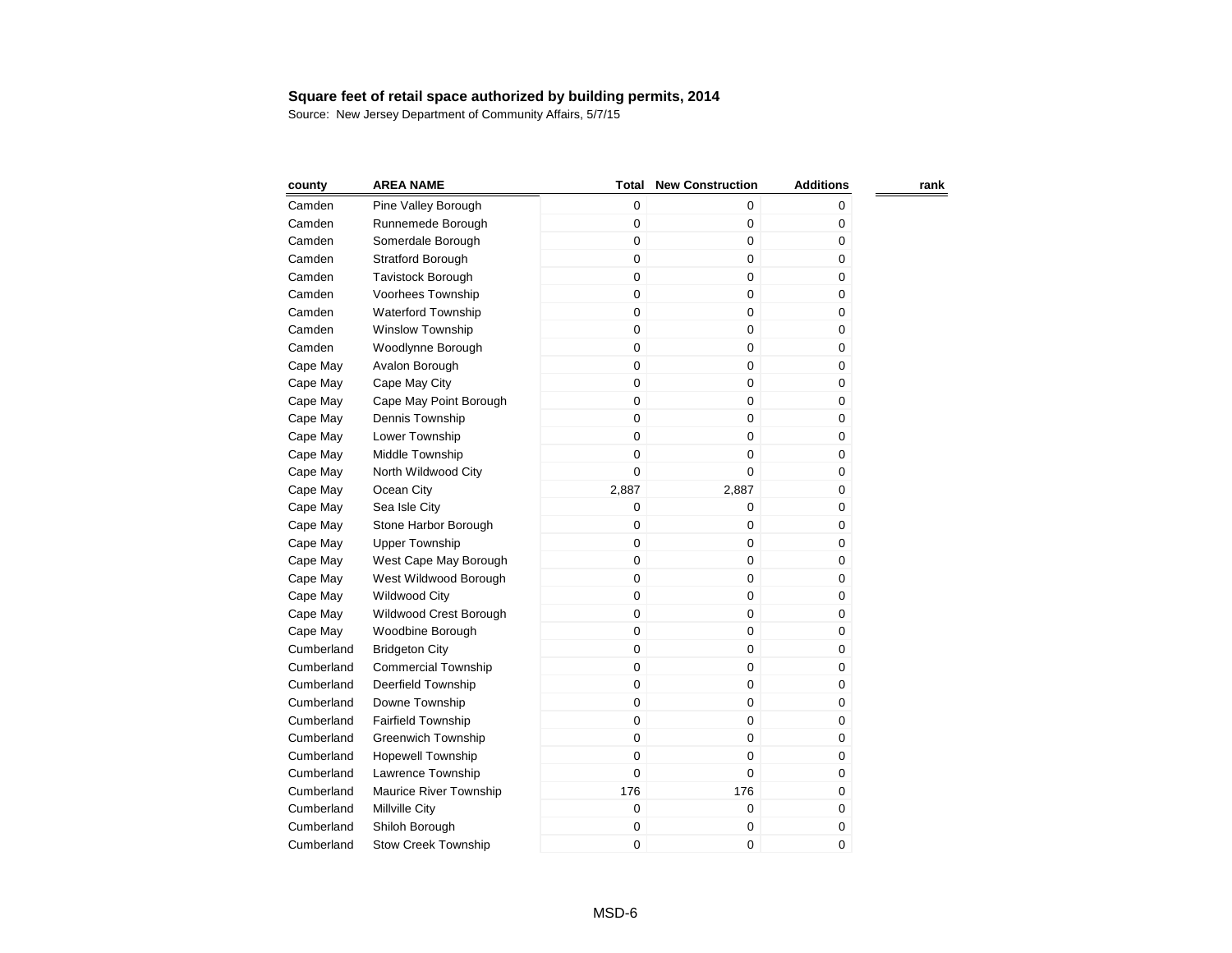| county     | <b>AREA NAME</b>           | Total       | <b>New Construction</b> | <b>Additions</b> | rank |
|------------|----------------------------|-------------|-------------------------|------------------|------|
| Camden     | Pine Valley Borough        | 0           | $\mathbf 0$             | 0                |      |
| Camden     | Runnemede Borough          | 0           | $\pmb{0}$               | 0                |      |
| Camden     | Somerdale Borough          | 0           | $\mathbf 0$             | 0                |      |
| Camden     | <b>Stratford Borough</b>   | 0           | $\mathbf 0$             | 0                |      |
| Camden     | <b>Tavistock Borough</b>   | 0           | $\pmb{0}$               | 0                |      |
| Camden     | Voorhees Township          | $\mathbf 0$ | $\pmb{0}$               | 0                |      |
| Camden     | <b>Waterford Township</b>  | $\mathbf 0$ | $\mathbf 0$             | 0                |      |
| Camden     | <b>Winslow Township</b>    | $\mathbf 0$ | $\mathbf 0$             | 0                |      |
| Camden     | Woodlynne Borough          | $\mathbf 0$ | $\boldsymbol{0}$        | 0                |      |
| Cape May   | Avalon Borough             | $\mathbf 0$ | $\mathbf 0$             | 0                |      |
| Cape May   | Cape May City              | $\mathbf 0$ | $\mathbf 0$             | 0                |      |
| Cape May   | Cape May Point Borough     | $\mathbf 0$ | $\mathbf 0$             | 0                |      |
| Cape May   | Dennis Township            | $\mathbf 0$ | $\mathbf 0$             | 0                |      |
| Cape May   | Lower Township             | $\mathbf 0$ | $\mathbf 0$             | 0                |      |
| Cape May   | Middle Township            | $\mathbf 0$ | $\boldsymbol{0}$        | 0                |      |
| Cape May   | North Wildwood City        | 0           | $\mathbf 0$             | 0                |      |
| Cape May   | Ocean City                 | 2,887       | 2,887                   | 0                |      |
| Cape May   | Sea Isle City              | 0           | $\mathbf 0$             | 0                |      |
| Cape May   | Stone Harbor Borough       | 0           | $\boldsymbol{0}$        | 0                |      |
| Cape May   | <b>Upper Township</b>      | $\mathbf 0$ | $\mathbf 0$             | 0                |      |
| Cape May   | West Cape May Borough      | $\mathbf 0$ | $\mathbf 0$             | 0                |      |
| Cape May   | West Wildwood Borough      | $\mathbf 0$ | $\boldsymbol{0}$        | 0                |      |
| Cape May   | <b>Wildwood City</b>       | 0           | $\boldsymbol{0}$        | 0                |      |
| Cape May   | Wildwood Crest Borough     | $\mathbf 0$ | $\mathbf 0$             | 0                |      |
| Cape May   | Woodbine Borough           | 0           | $\boldsymbol{0}$        | 0                |      |
| Cumberland | <b>Bridgeton City</b>      | 0           | 0                       | 0                |      |
| Cumberland | <b>Commercial Township</b> | $\mathbf 0$ | $\mathbf 0$             | 0                |      |
| Cumberland | Deerfield Township         | 0           | $\mathbf 0$             | 0                |      |
| Cumberland | Downe Township             | 0           | $\pmb{0}$               | 0                |      |
| Cumberland | Fairfield Township         | $\mathbf 0$ | $\mathbf 0$             | 0                |      |
| Cumberland | <b>Greenwich Township</b>  | $\mathbf 0$ | $\mathbf 0$             | 0                |      |
| Cumberland | <b>Hopewell Township</b>   | 0           | $\mathbf 0$             | 0                |      |
| Cumberland | Lawrence Township          | $\mathbf 0$ | 0                       | 0                |      |
| Cumberland | Maurice River Township     | 176         | 176                     | 0                |      |
| Cumberland | Millville City             | 0           | $\pmb{0}$               | 0                |      |
| Cumberland | Shiloh Borough             | 0           | $\pmb{0}$               | 0                |      |
| Cumberland | <b>Stow Creek Township</b> | 0           | $\mathbf 0$             | 0                |      |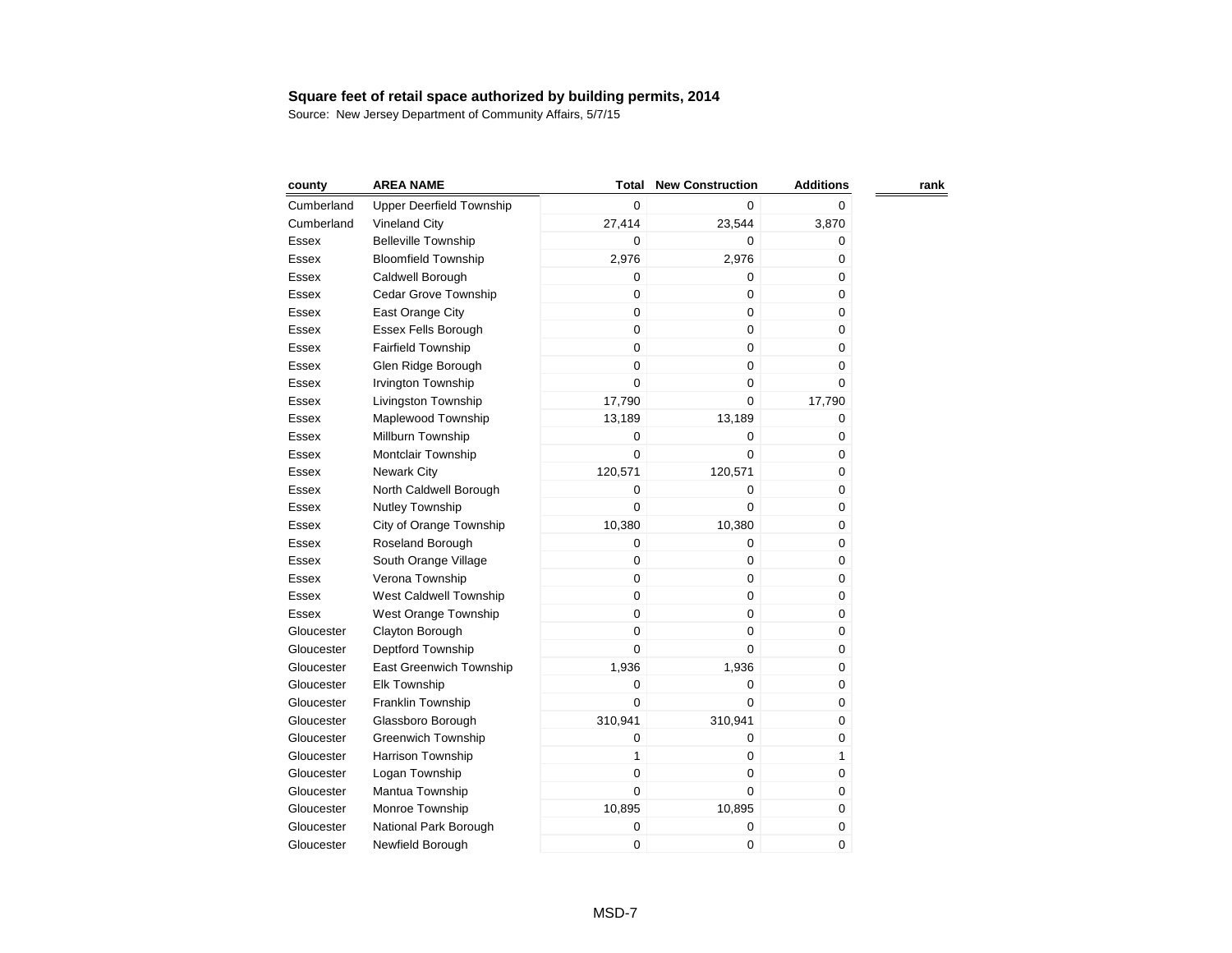| county     | <b>AREA NAME</b>                | Total       | <b>New Construction</b> | <b>Additions</b> | rank |
|------------|---------------------------------|-------------|-------------------------|------------------|------|
| Cumberland | <b>Upper Deerfield Township</b> | 0           | 0                       | 0                |      |
| Cumberland | <b>Vineland City</b>            | 27,414      | 23,544                  | 3,870            |      |
| Essex      | <b>Belleville Township</b>      | 0           | 0                       | 0                |      |
| Essex      | <b>Bloomfield Township</b>      | 2,976       | 2,976                   | 0                |      |
| Essex      | Caldwell Borough                | 0           | 0                       | 0                |      |
| Essex      | <b>Cedar Grove Township</b>     | 0           | 0                       | 0                |      |
| Essex      | East Orange City                | 0           | 0                       | 0                |      |
| Essex      | Essex Fells Borough             | 0           | 0                       | 0                |      |
| Essex      | Fairfield Township              | 0           | 0                       | 0                |      |
| Essex      | Glen Ridge Borough              | 0           | $\mathbf 0$             | 0                |      |
| Essex      | Irvington Township              | 0           | $\mathbf 0$             | 0                |      |
| Essex      | Livingston Township             | 17,790      | $\mathbf 0$             | 17,790           |      |
| Essex      | Maplewood Township              | 13,189      | 13,189                  | 0                |      |
| Essex      | Millburn Township               | 0           | 0                       | 0                |      |
| Essex      | Montclair Township              | 0           | $\mathbf 0$             | 0                |      |
| Essex      | <b>Newark City</b>              | 120,571     | 120,571                 | 0                |      |
| Essex      | North Caldwell Borough          | 0           | 0                       | 0                |      |
| Essex      | Nutley Township                 | 0           | 0                       | 0                |      |
| Essex      | City of Orange Township         | 10,380      | 10,380                  | 0                |      |
| Essex      | Roseland Borough                | 0           | 0                       | 0                |      |
| Essex      | South Orange Village            | 0           | 0                       | 0                |      |
| Essex      | Verona Township                 | 0           | 0                       | 0                |      |
| Essex      | West Caldwell Township          | 0           | 0                       | 0                |      |
| Essex      | West Orange Township            | 0           | 0                       | 0                |      |
| Gloucester | Clayton Borough                 | 0           | 0                       | 0                |      |
| Gloucester | Deptford Township               | 0           | 0                       | 0                |      |
| Gloucester | East Greenwich Township         | 1,936       | 1,936                   | 0                |      |
| Gloucester | <b>Elk Township</b>             | 0           | 0                       | 0                |      |
| Gloucester | Franklin Township               | 0           | 0                       | 0                |      |
| Gloucester | Glassboro Borough               | 310,941     | 310,941                 | 0                |      |
| Gloucester | Greenwich Township              | 0           | 0                       | 0                |      |
| Gloucester | Harrison Township               | 1           | 0                       | 1                |      |
| Gloucester | Logan Township                  | 0           | 0                       | 0                |      |
| Gloucester | Mantua Township                 | $\mathbf 0$ | 0                       | 0                |      |
| Gloucester | Monroe Township                 | 10,895      | 10,895                  | 0                |      |
| Gloucester | National Park Borough           | 0           | 0                       | 0                |      |
| Gloucester | Newfield Borough                | 0           | 0                       | 0                |      |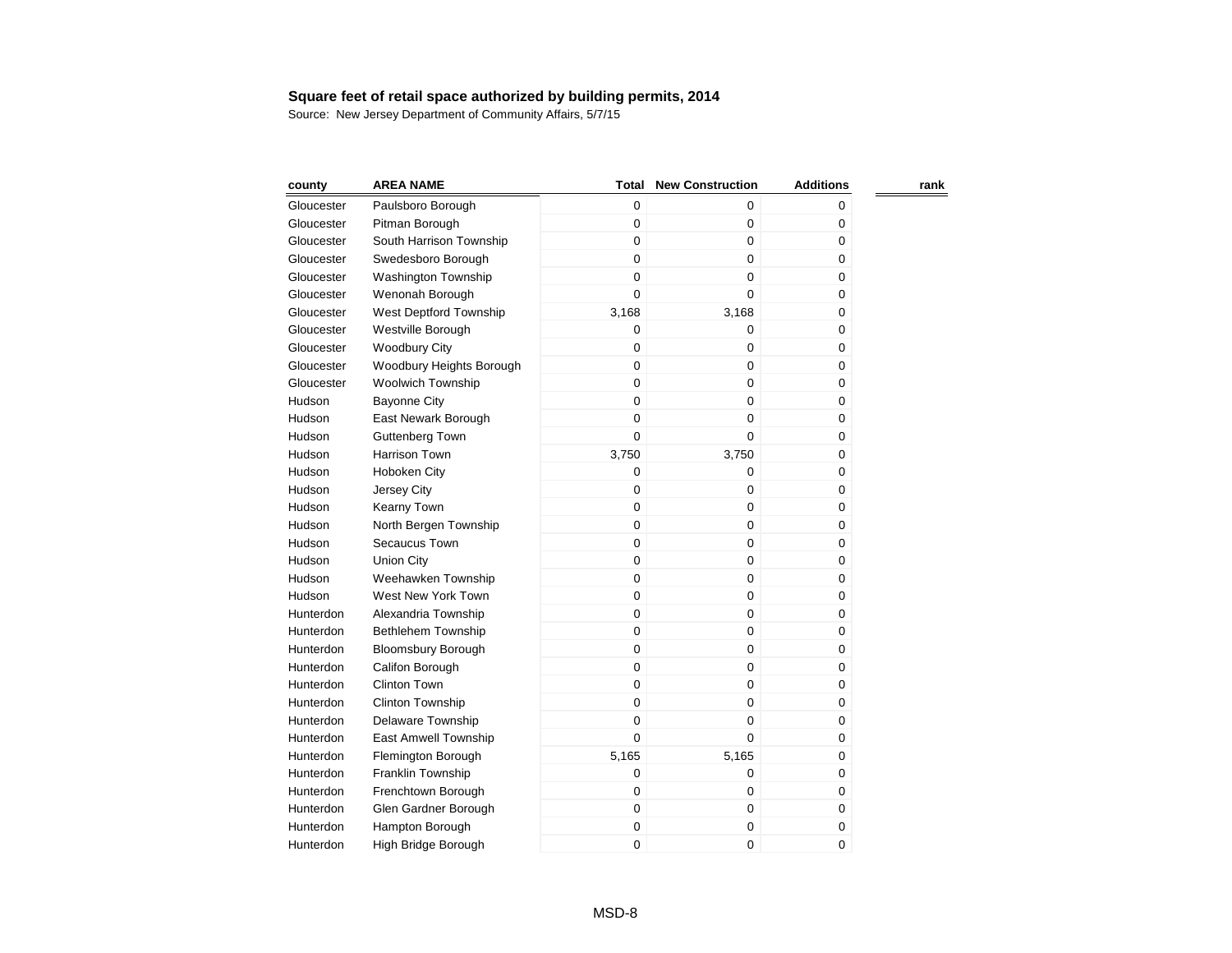| county     | <b>AREA NAME</b>           | <b>Total</b> | <b>New Construction</b> | <b>Additions</b> | rank |
|------------|----------------------------|--------------|-------------------------|------------------|------|
| Gloucester | Paulsboro Borough          | $\mathbf 0$  | 0                       | 0                |      |
| Gloucester | Pitman Borough             | 0            | 0                       | 0                |      |
| Gloucester | South Harrison Township    | 0            | 0                       | 0                |      |
| Gloucester | Swedesboro Borough         | $\mathbf 0$  | 0                       | 0                |      |
| Gloucester | <b>Washington Township</b> | $\mathbf 0$  | $\mathbf 0$             | 0                |      |
| Gloucester | Wenonah Borough            | 0            | $\mathbf 0$             | 0                |      |
| Gloucester | West Deptford Township     | 3,168        | 3,168                   | 0                |      |
| Gloucester | Westville Borough          | $\mathbf 0$  | 0                       | 0                |      |
| Gloucester | <b>Woodbury City</b>       | 0            | 0                       | 0                |      |
| Gloucester | Woodbury Heights Borough   | $\mathbf 0$  | $\mathbf 0$             | 0                |      |
| Gloucester | <b>Woolwich Township</b>   | $\mathbf 0$  | $\mathbf 0$             | 0                |      |
| Hudson     | <b>Bayonne City</b>        | $\mathbf 0$  | $\mathbf 0$             | 0                |      |
| Hudson     | East Newark Borough        | 0            | 0                       | 0                |      |
| Hudson     | Guttenberg Town            | 0            | $\mathbf 0$             | $\pmb{0}$        |      |
| Hudson     | <b>Harrison Town</b>       | 3,750        | 3,750                   | $\mathbf 0$      |      |
| Hudson     | Hoboken City               | $\mathbf 0$  | $\mathbf 0$             | 0                |      |
| Hudson     | Jersey City                | 0            | 0                       | 0                |      |
| Hudson     | Kearny Town                | $\mathbf 0$  | $\pmb{0}$               | $\pmb{0}$        |      |
| Hudson     | North Bergen Township      | $\mathbf 0$  | $\mathbf 0$             | 0                |      |
| Hudson     | Secaucus Town              | $\mathbf 0$  | $\mathbf 0$             | 0                |      |
| Hudson     | <b>Union City</b>          | 0            | 0                       | 0                |      |
| Hudson     | Weehawken Township         | 0            | 0                       | 0                |      |
| Hudson     | West New York Town         | $\mathbf 0$  | $\mathbf 0$             | 0                |      |
| Hunterdon  | Alexandria Township        | $\mathbf 0$  | $\mathbf 0$             | 0                |      |
| Hunterdon  | <b>Bethlehem Township</b>  | 0            | $\mathbf 0$             | 0                |      |
| Hunterdon  | <b>Bloomsbury Borough</b>  | 0            | 0                       | 0                |      |
| Hunterdon  | Califon Borough            | $\mathbf 0$  | $\pmb{0}$               | 0                |      |
| Hunterdon  | <b>Clinton Town</b>        | 0            | 0                       | 0                |      |
| Hunterdon  | Clinton Township           | 0            | $\mathbf 0$             | 0                |      |
| Hunterdon  | Delaware Township          | 0            | $\mathbf 0$             | 0                |      |
| Hunterdon  | East Amwell Township       | 0            | 0                       | 0                |      |
| Hunterdon  | Flemington Borough         | 5,165        | 5,165                   | 0                |      |
| Hunterdon  | Franklin Township          | 0            | $\mathbf 0$             | 0                |      |
| Hunterdon  | Frenchtown Borough         | 0            | $\mathbf 0$             | 0                |      |
| Hunterdon  | Glen Gardner Borough       | 0            | $\boldsymbol{0}$        | 0                |      |
| Hunterdon  | Hampton Borough            | 0            | 0                       | $\pmb{0}$        |      |
| Hunterdon  | High Bridge Borough        | 0            | 0                       | 0                |      |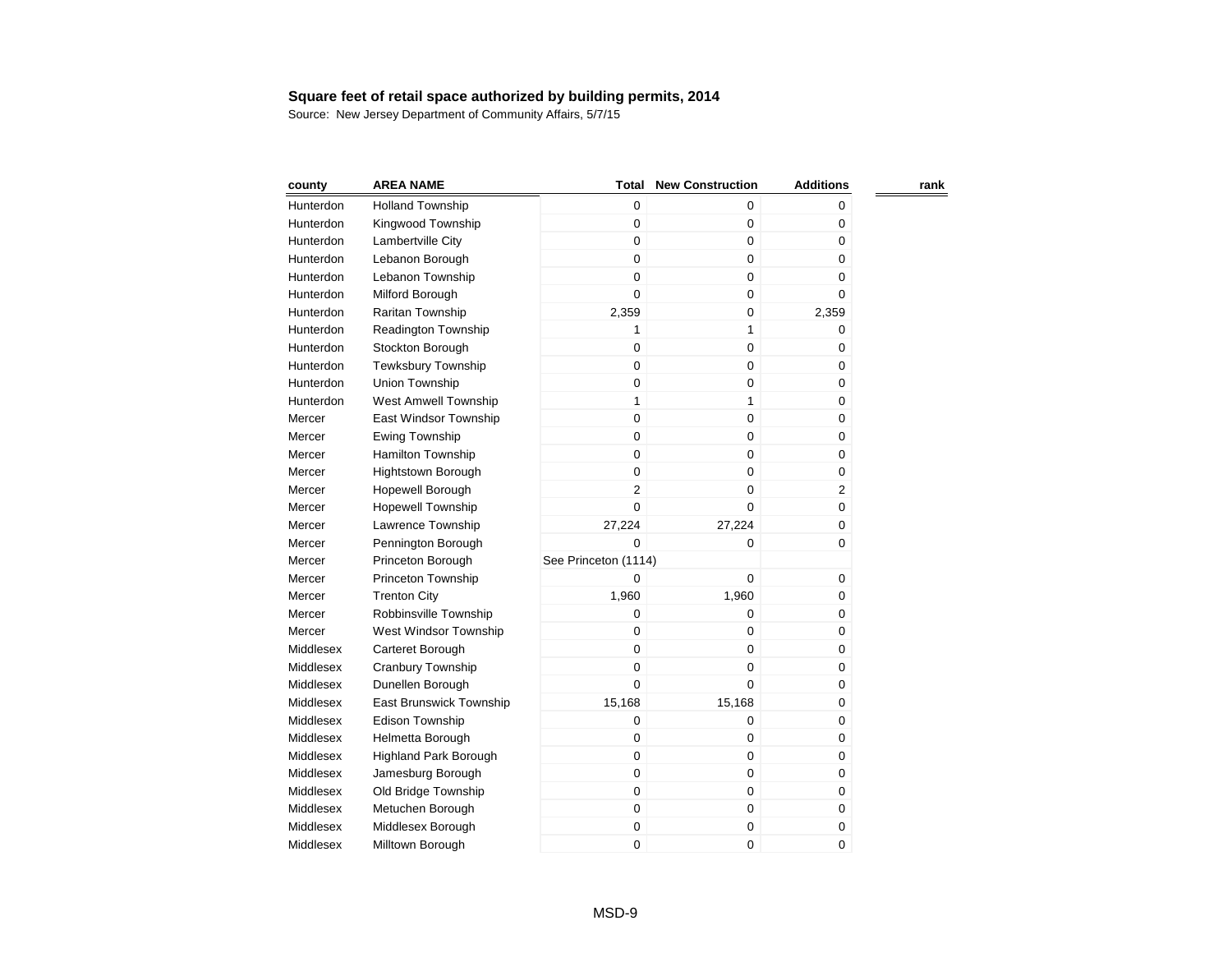| county    | <b>AREA NAME</b>            | Total                | <b>New Construction</b> | <b>Additions</b> | rank |
|-----------|-----------------------------|----------------------|-------------------------|------------------|------|
| Hunterdon | <b>Holland Township</b>     | $\mathbf 0$          | $\mathbf 0$             | 0                |      |
| Hunterdon | Kingwood Township           | 0                    | $\boldsymbol{0}$        | 0                |      |
| Hunterdon | Lambertville City           | 0                    | $\boldsymbol{0}$        | 0                |      |
| Hunterdon | Lebanon Borough             | 0                    | $\mathbf 0$             | 0                |      |
| Hunterdon | Lebanon Township            | 0                    | $\mathbf 0$             | 0                |      |
| Hunterdon | Milford Borough             | 0                    | $\mathbf 0$             | 0                |      |
| Hunterdon | Raritan Township            | 2,359                | $\boldsymbol{0}$        | 2,359            |      |
| Hunterdon | <b>Readington Township</b>  | 1                    | $\mathbf{1}$            | 0                |      |
| Hunterdon | Stockton Borough            | 0                    | $\mathbf 0$             | 0                |      |
| Hunterdon | <b>Tewksbury Township</b>   | $\overline{0}$       | $\mathbf 0$             | 0                |      |
| Hunterdon | Union Township              | 0                    | $\mathbf 0$             | 0                |      |
| Hunterdon | <b>West Amwell Township</b> | $\mathbf{1}$         | $\mathbf{1}$            | 0                |      |
| Mercer    | East Windsor Township       | $\mathbf 0$          | $\mathbf 0$             | 0                |      |
| Mercer    | <b>Ewing Township</b>       | $\mathbf 0$          | $\mathbf 0$             | 0                |      |
| Mercer    | Hamilton Township           | $\mathbf 0$          | $\mathbf 0$             | 0                |      |
| Mercer    | <b>Hightstown Borough</b>   | $\mathbf 0$          | $\mathbf 0$             | 0                |      |
| Mercer    | Hopewell Borough            | $\overline{2}$       | $\mathbf 0$             | $\overline{2}$   |      |
| Mercer    | <b>Hopewell Township</b>    | $\mathbf 0$          | $\mathbf 0$             | 0                |      |
| Mercer    | Lawrence Township           | 27,224               | 27,224                  | 0                |      |
| Mercer    | Pennington Borough          | $\Omega$             | $\Omega$                | 0                |      |
| Mercer    | Princeton Borough           | See Princeton (1114) |                         |                  |      |
| Mercer    | Princeton Township          | 0                    | $\mathbf 0$             | 0                |      |
| Mercer    | <b>Trenton City</b>         | 1,960                | 1,960                   | 0                |      |
| Mercer    | Robbinsville Township       | 0                    | $\mathbf 0$             | 0                |      |
| Mercer    | West Windsor Township       | 0                    | $\mathbf 0$             | 0                |      |
| Middlesex | Carteret Borough            | 0                    | $\mathbf 0$             | 0                |      |
| Middlesex | Cranbury Township           | $\mathbf 0$          | $\mathbf 0$             | 0                |      |
| Middlesex | Dunellen Borough            | 0                    | $\mathbf 0$             | 0                |      |
| Middlesex | East Brunswick Township     | 15,168               | 15,168                  | 0                |      |
| Middlesex | <b>Edison Township</b>      | 0                    | $\mathbf 0$             | 0                |      |
| Middlesex | Helmetta Borough            | 0                    | 0                       | 0                |      |
| Middlesex | Highland Park Borough       | $\mathbf 0$          | $\mathbf 0$             | 0                |      |
| Middlesex | Jamesburg Borough           | $\mathbf 0$          | $\mathbf 0$             | 0                |      |
| Middlesex | Old Bridge Township         | $\mathbf 0$          | $\pmb{0}$               | 0                |      |
| Middlesex | Metuchen Borough            | 0                    | $\pmb{0}$               | 0                |      |
| Middlesex | Middlesex Borough           | 0                    | $\pmb{0}$               | 0                |      |
| Middlesex | Milltown Borough            | 0                    | $\mathbf 0$             | 0                |      |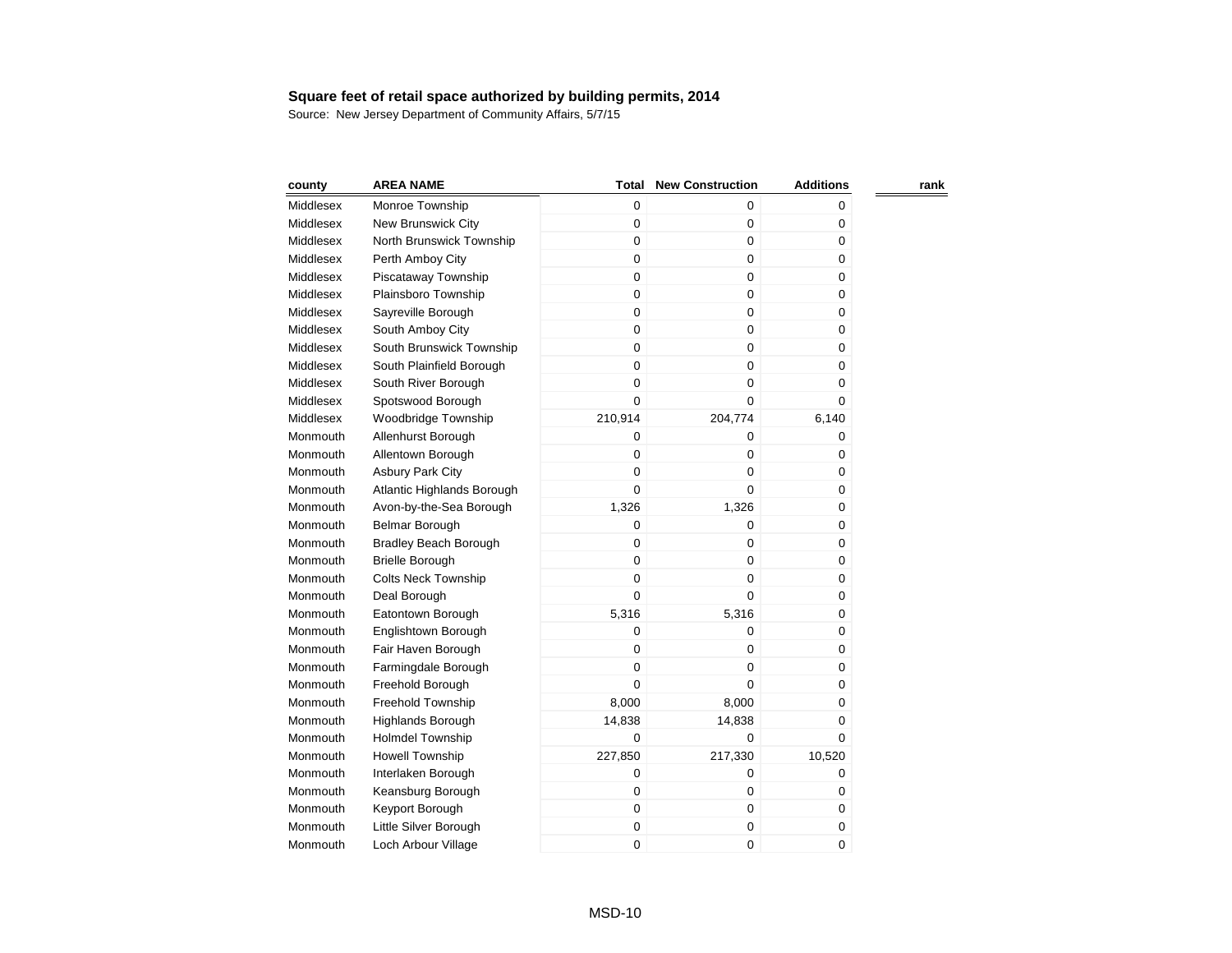| county    | <b>AREA NAME</b>             | Total       | <b>New Construction</b> | <b>Additions</b> | rank |
|-----------|------------------------------|-------------|-------------------------|------------------|------|
| Middlesex | Monroe Township              | $\mathbf 0$ | $\mathbf 0$             | 0                |      |
| Middlesex | New Brunswick City           | 0           | $\pmb{0}$               | 0                |      |
| Middlesex | North Brunswick Township     | 0           | $\pmb{0}$               | 0                |      |
| Middlesex | Perth Amboy City             | 0           | $\mathbf 0$             | 0                |      |
| Middlesex | Piscataway Township          | 0           | $\mathbf 0$             | 0                |      |
| Middlesex | Plainsboro Township          | 0           | $\mathbf 0$             | 0                |      |
| Middlesex | Sayreville Borough           | 0           | $\mathbf 0$             | 0                |      |
| Middlesex | South Amboy City             | 0           | $\mathbf 0$             | 0                |      |
| Middlesex | South Brunswick Township     | 0           | $\pmb{0}$               | 0                |      |
| Middlesex | South Plainfield Borough     | 0           | $\mathbf 0$             | 0                |      |
| Middlesex | South River Borough          | 0           | $\mathbf 0$             | $\pmb{0}$        |      |
| Middlesex | Spotswood Borough            | 0           | $\Omega$                | 0                |      |
| Middlesex | Woodbridge Township          | 210,914     | 204,774                 | 6,140            |      |
| Monmouth  | Allenhurst Borough           | 0           | $\pmb{0}$               | 0                |      |
| Monmouth  | Allentown Borough            | $\mathbf 0$ | $\mathbf 0$             | 0                |      |
| Monmouth  | Asbury Park City             | $\mathbf 0$ | $\mathbf 0$             | 0                |      |
| Monmouth  | Atlantic Highlands Borough   | $\mathbf 0$ | $\Omega$                | 0                |      |
| Monmouth  | Avon-by-the-Sea Borough      | 1,326       | 1,326                   | 0                |      |
| Monmouth  | Belmar Borough               | 0           | $\mathbf 0$             | 0                |      |
| Monmouth  | <b>Bradley Beach Borough</b> | 0           | $\pmb{0}$               | 0                |      |
| Monmouth  | <b>Brielle Borough</b>       | $\mathbf 0$ | $\mathbf 0$             | 0                |      |
| Monmouth  | <b>Colts Neck Township</b>   | $\mathbf 0$ | $\mathbf 0$             | 0                |      |
| Monmouth  | Deal Borough                 | 0           | $\Omega$                | 0                |      |
| Monmouth  | Eatontown Borough            | 5,316       | 5,316                   | 0                |      |
| Monmouth  | Englishtown Borough          | 0           | $\mathbf 0$             | 0                |      |
| Monmouth  | Fair Haven Borough           | 0           | $\mathbf 0$             | 0                |      |
| Monmouth  | Farmingdale Borough          | 0           | 0                       | 0                |      |
| Monmouth  | Freehold Borough             | $\mathbf 0$ | $\mathbf 0$             | 0                |      |
| Monmouth  | Freehold Township            | 8,000       | 8,000                   | 0                |      |
| Monmouth  | <b>Highlands Borough</b>     | 14,838      | 14,838                  | 0                |      |
| Monmouth  | <b>Holmdel Township</b>      | $\mathbf 0$ | $\mathbf 0$             | 0                |      |
| Monmouth  | <b>Howell Township</b>       | 227,850     | 217,330                 | 10,520           |      |
| Monmouth  | Interlaken Borough           | 0           | $\mathbf 0$             | 0                |      |
| Monmouth  | Keansburg Borough            | 0           | $\pmb{0}$               | 0                |      |
| Monmouth  | Keyport Borough              | 0           | $\pmb{0}$               | 0                |      |
| Monmouth  | Little Silver Borough        | 0           | $\pmb{0}$               | 0                |      |
| Monmouth  | Loch Arbour Village          | 0           | $\mathbf 0$             | 0                |      |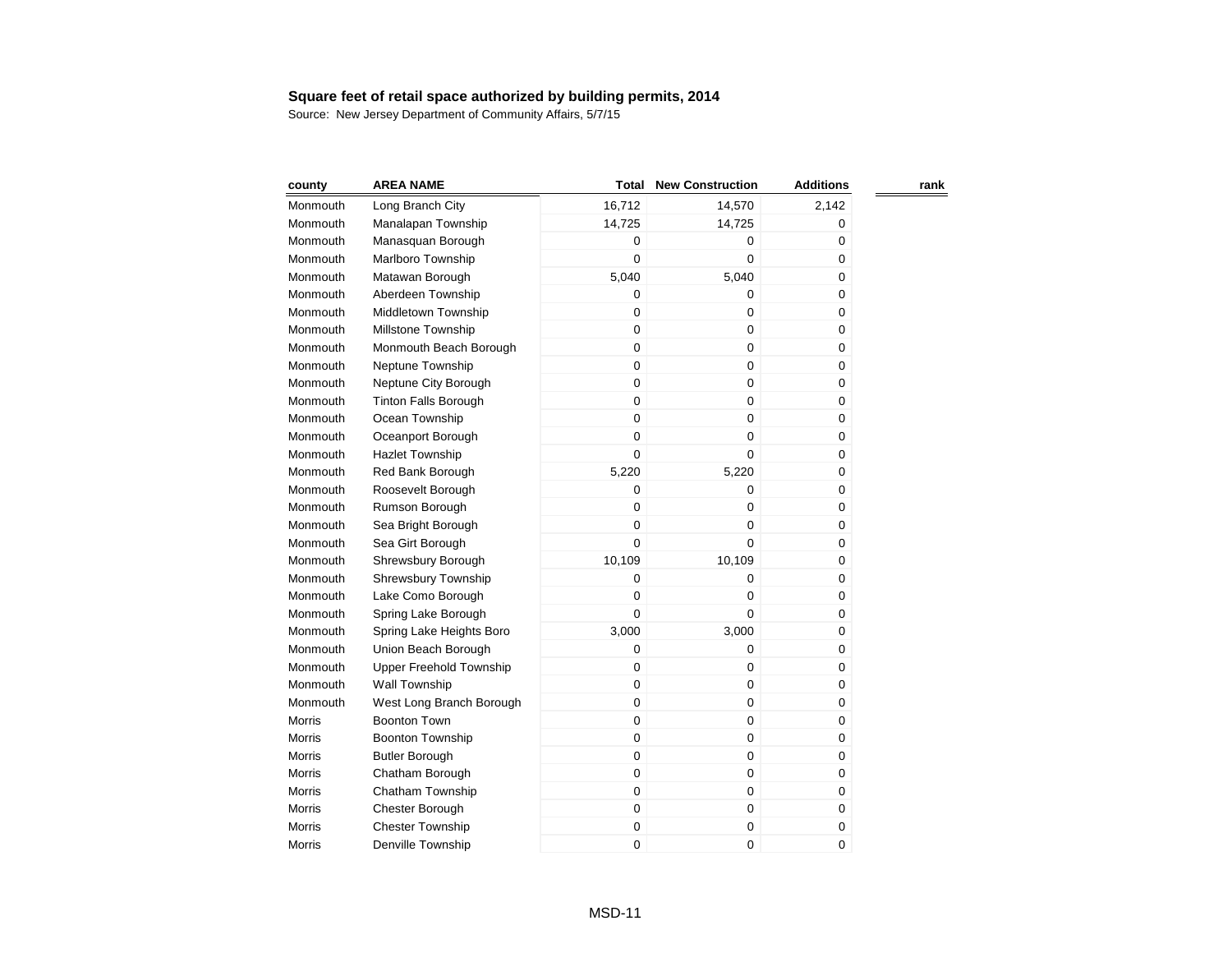| county        | <b>AREA NAME</b>            | <b>Total</b> | <b>New Construction</b> | <b>Additions</b> | rank |
|---------------|-----------------------------|--------------|-------------------------|------------------|------|
| Monmouth      | Long Branch City            | 16,712       | 14,570                  | 2,142            |      |
| Monmouth      | Manalapan Township          | 14,725       | 14,725                  | 0                |      |
| Monmouth      | Manasquan Borough           | 0            | 0                       | 0                |      |
| Monmouth      | Marlboro Township           | $\mathbf 0$  | $\mathbf 0$             | 0                |      |
| Monmouth      | Matawan Borough             | 5,040        | 5,040                   | 0                |      |
| Monmouth      | Aberdeen Township           | 0            | 0                       | 0                |      |
| Monmouth      | Middletown Township         | 0            | $\pmb{0}$               | 0                |      |
| Monmouth      | Millstone Township          | $\mathbf 0$  | $\mathbf 0$             | 0                |      |
| Monmouth      | Monmouth Beach Borough      | $\mathbf 0$  | $\mathbf 0$             | 0                |      |
| Monmouth      | Neptune Township            | $\mathbf 0$  | $\mathbf 0$             | 0                |      |
| Monmouth      | Neptune City Borough        | $\mathbf 0$  | $\pmb{0}$               | 0                |      |
| Monmouth      | <b>Tinton Falls Borough</b> | $\mathbf 0$  | $\pmb{0}$               | 0                |      |
| Monmouth      | Ocean Township              | $\mathsf 0$  | $\mathbf 0$             | 0                |      |
| Monmouth      | Oceanport Borough           | $\mathbf 0$  | $\mathbf 0$             | 0                |      |
| Monmouth      | <b>Hazlet Township</b>      | $\mathbf 0$  | $\mathbf 0$             | 0                |      |
| Monmouth      | Red Bank Borough            | 5,220        | 5,220                   | 0                |      |
| Monmouth      | Roosevelt Borough           | 0            | $\boldsymbol{0}$        | 0                |      |
| Monmouth      | Rumson Borough              | $\mathbf 0$  | $\mathbf 0$             | 0                |      |
| Monmouth      | Sea Bright Borough          | $\mathbf 0$  | $\mathbf 0$             | 0                |      |
| Monmouth      | Sea Girt Borough            | $\mathbf 0$  | $\Omega$                | 0                |      |
| Monmouth      | Shrewsbury Borough          | 10,109       | 10,109                  | 0                |      |
| Monmouth      | Shrewsbury Township         | 0            | $\boldsymbol{0}$        | 0                |      |
| Monmouth      | Lake Como Borough           | $\mathbf 0$  | $\mathbf 0$             | 0                |      |
| Monmouth      | Spring Lake Borough         | $\mathbf 0$  | $\mathbf 0$             | 0                |      |
| Monmouth      | Spring Lake Heights Boro    | 3,000        | 3,000                   | 0                |      |
| Monmouth      | Union Beach Borough         | 0            | $\mathbf 0$             | 0                |      |
| Monmouth      | Upper Freehold Township     | $\mathbf 0$  | $\mathbf 0$             | 0                |      |
| Monmouth      | Wall Township               | $\mathbf 0$  | 0                       | 0                |      |
| Monmouth      | West Long Branch Borough    | 0            | $\mathbf 0$             | 0                |      |
| <b>Morris</b> | <b>Boonton Town</b>         | 0            | $\pmb{0}$               | 0                |      |
| Morris        | <b>Boonton Township</b>     | 0            | $\pmb{0}$               | 0                |      |
| <b>Morris</b> | <b>Butler Borough</b>       | $\mathbf 0$  | 0                       | 0                |      |
| <b>Morris</b> | Chatham Borough             | $\mathbf 0$  | $\mathbf 0$             | 0                |      |
| Morris        | Chatham Township            | $\mathbf 0$  | $\boldsymbol{0}$        | 0                |      |
| Morris        | Chester Borough             | 0            | $\boldsymbol{0}$        | 0                |      |
| <b>Morris</b> | <b>Chester Township</b>     | 0            | $\boldsymbol{0}$        | 0                |      |
| Morris        | Denville Township           | $\mathbf 0$  | 0                       | 0                |      |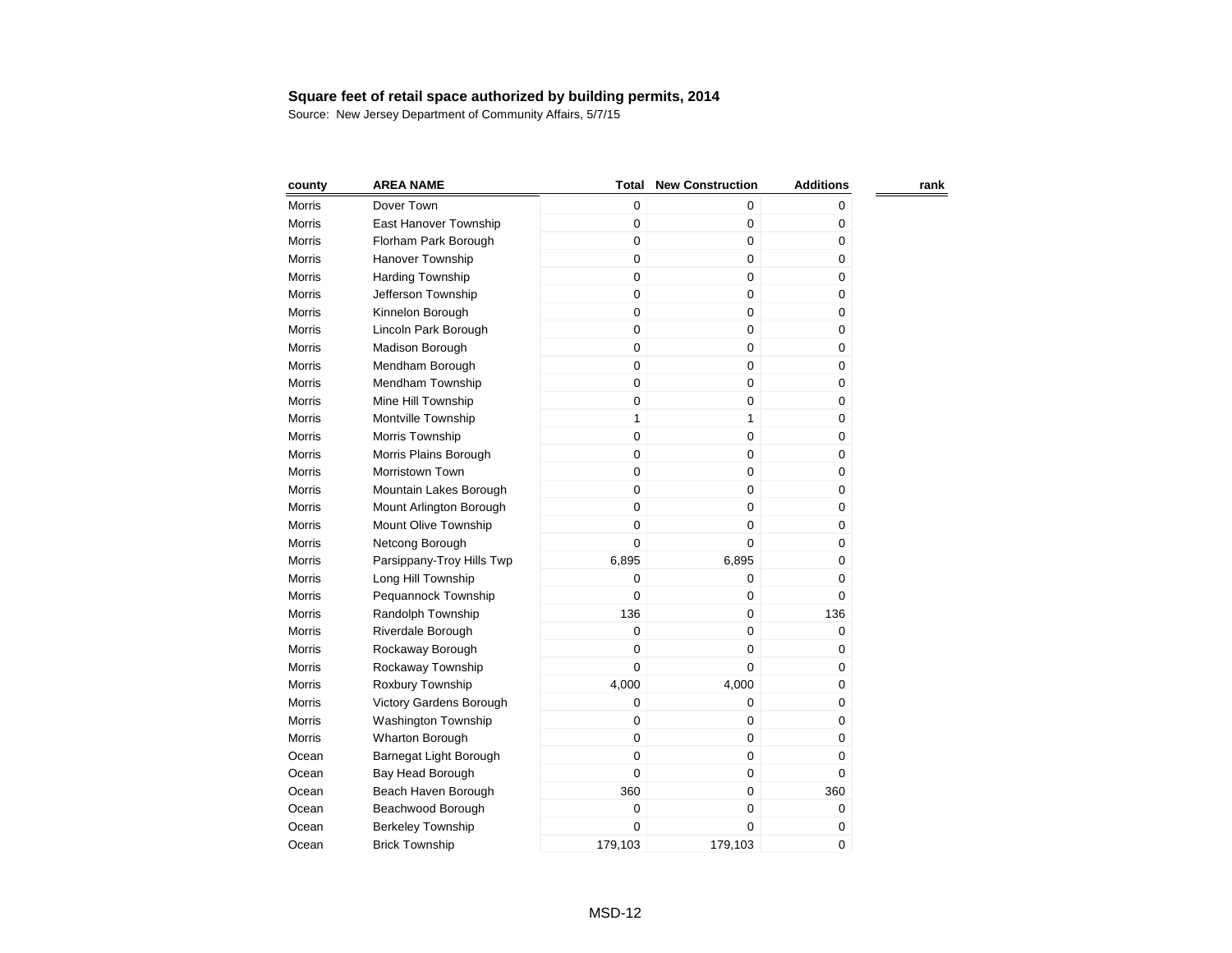| county        | <b>AREA NAME</b>          | <b>Total</b> | <b>New Construction</b> | <b>Additions</b> | rank |
|---------------|---------------------------|--------------|-------------------------|------------------|------|
| Morris        | Dover Town                | 0            | 0                       | 0                |      |
| Morris        | East Hanover Township     | $\mathbf 0$  | $\mathbf 0$             | 0                |      |
| <b>Morris</b> | Florham Park Borough      | $\pmb{0}$    | 0                       | 0                |      |
| <b>Morris</b> | Hanover Township          | 0            | 0                       | 0                |      |
| Morris        | <b>Harding Township</b>   | $\mathbf 0$  | 0                       | 0                |      |
| Morris        | Jefferson Township        | $\mathbf 0$  | 0                       | 0                |      |
| <b>Morris</b> | Kinnelon Borough          | $\mathbf 0$  | 0                       | 0                |      |
| <b>Morris</b> | Lincoln Park Borough      | $\mathbf 0$  | 0                       | $\pmb{0}$        |      |
| Morris        | Madison Borough           | $\mathbf 0$  | $\mathbf 0$             | $\mathbf 0$      |      |
| Morris        | Mendham Borough           | $\mathbf 0$  | 0                       | 0                |      |
| Morris        | Mendham Township          | $\mathbf 0$  | 0                       | 0                |      |
| <b>Morris</b> | Mine Hill Township        | $\pmb{0}$    | 0                       | $\pmb{0}$        |      |
| Morris        | Montville Township        | $\mathbf{1}$ | $\mathbf{1}$            | $\mathbf 0$      |      |
| Morris        | Morris Township           | 0            | $\pmb{0}$               | 0                |      |
| Morris        | Morris Plains Borough     | $\pmb{0}$    | $\mathbf 0$             | 0                |      |
| <b>Morris</b> | Morristown Town           | 0            | $\pmb{0}$               | $\pmb{0}$        |      |
| <b>Morris</b> | Mountain Lakes Borough    | 0            | $\mathbf 0$             | $\mathbf 0$      |      |
| <b>Morris</b> | Mount Arlington Borough   | 0            | $\mathbf 0$             | 0                |      |
| Morris        | Mount Olive Township      | 0            | $\mathbf 0$             | 0                |      |
| <b>Morris</b> | Netcong Borough           | 0            | 0                       | $\mathbf 0$      |      |
| <b>Morris</b> | Parsippany-Troy Hills Twp | 6,895        | 6,895                   | 0                |      |
| <b>Morris</b> | Long Hill Township        | 0            | 0                       | 0                |      |
| Morris        | Pequannock Township       | 0            | 0                       | 0                |      |
| Morris        | Randolph Township         | 136          | $\pmb{0}$               | 136              |      |
| Morris        | Riverdale Borough         | 0            | $\pmb{0}$               | 0                |      |
| <b>Morris</b> | Rockaway Borough          | 0            | 0                       | 0                |      |
| Morris        | Rockaway Township         | $\mathbf 0$  | 0                       | 0                |      |
| <b>Morris</b> | Roxbury Township          | 4,000        | 4,000                   | 0                |      |
| Morris        | Victory Gardens Borough   | 0            | 0                       | 0                |      |
| <b>Morris</b> | Washington Township       | 0            | 0                       | 0                |      |
| Morris        | Wharton Borough           | $\mathbf 0$  | 0                       | 0                |      |
| Ocean         | Barnegat Light Borough    | 0            | 0                       | 0                |      |
| Ocean         | Bay Head Borough          | $\mathbf 0$  | 0                       | $\pmb{0}$        |      |
| Ocean         | Beach Haven Borough       | 360          | $\mathbf 0$             | 360              |      |
| Ocean         | Beachwood Borough         | $\mathbf 0$  | 0                       | 0                |      |
| Ocean         | <b>Berkeley Township</b>  | 0            | 0                       | 0                |      |
| Ocean         | <b>Brick Township</b>     | 179,103      | 179,103                 | 0                |      |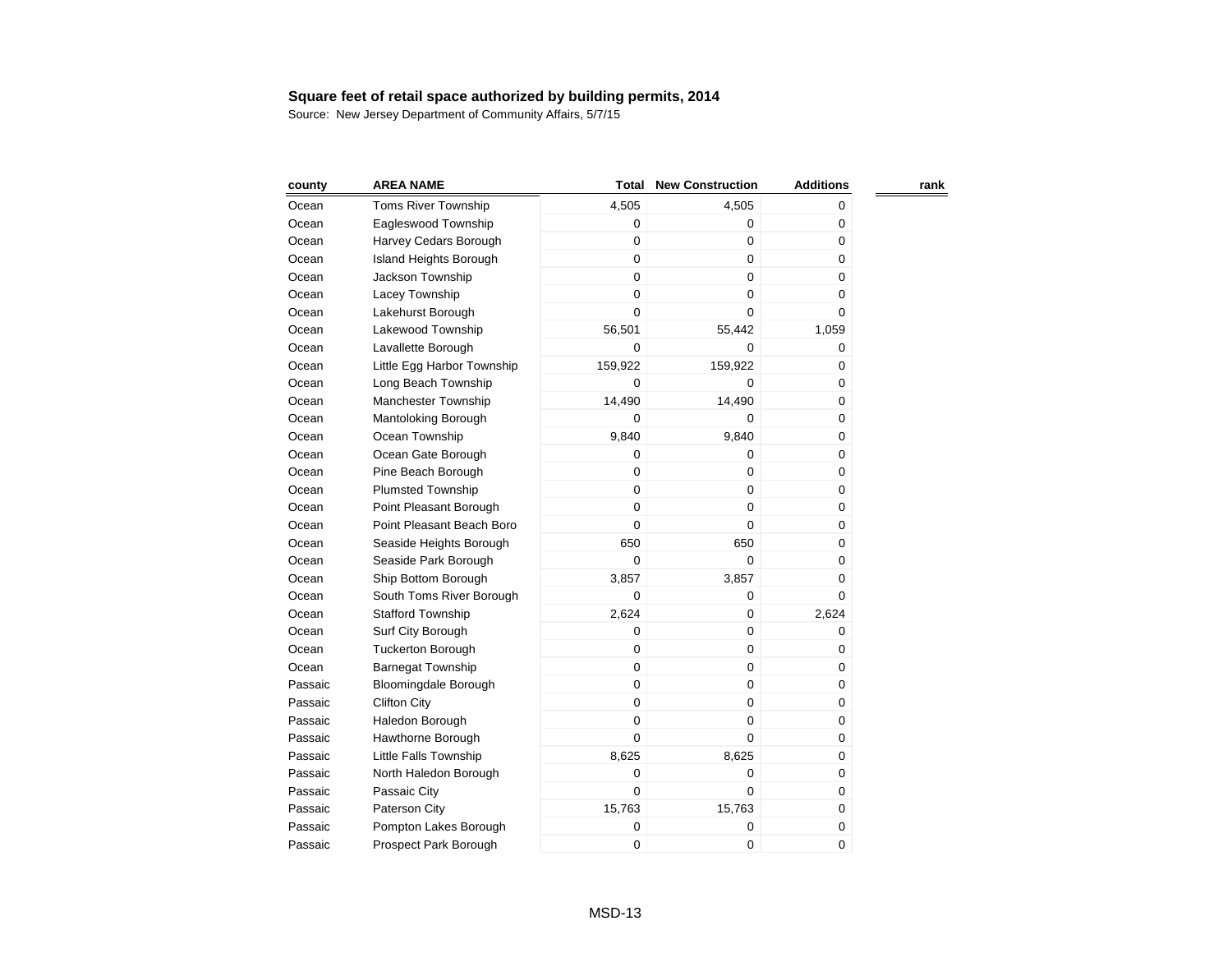| county  | <b>AREA NAME</b>              | Total       | <b>New Construction</b> | <b>Additions</b> | rank |
|---------|-------------------------------|-------------|-------------------------|------------------|------|
| Ocean   | <b>Toms River Township</b>    | 4,505       | 4,505                   | 0                |      |
| Ocean   | Eagleswood Township           | 0           | 0                       | 0                |      |
| Ocean   | Harvey Cedars Borough         | 0           | 0                       | 0                |      |
| Ocean   | <b>Island Heights Borough</b> | 0           | 0                       | 0                |      |
| Ocean   | Jackson Township              | $\mathbf 0$ | $\mathbf 0$             | 0                |      |
| Ocean   | Lacey Township                | $\mathbf 0$ | 0                       | 0                |      |
| Ocean   | Lakehurst Borough             | $\mathbf 0$ | 0                       | 0                |      |
| Ocean   | Lakewood Township             | 56,501      | 55,442                  | 1,059            |      |
| Ocean   | Lavallette Borough            | 0           | 0                       | 0                |      |
| Ocean   | Little Egg Harbor Township    | 159,922     | 159,922                 | 0                |      |
| Ocean   | Long Beach Township           | $\mathbf 0$ | 0                       | 0                |      |
| Ocean   | Manchester Township           | 14,490      | 14,490                  | 0                |      |
| Ocean   | Mantoloking Borough           | $\mathbf 0$ | 0                       | 0                |      |
| Ocean   | Ocean Township                | 9,840       | 9,840                   | 0                |      |
| Ocean   | Ocean Gate Borough            | 0           | $\mathbf 0$             | 0                |      |
| Ocean   | Pine Beach Borough            | 0           | 0                       | 0                |      |
| Ocean   | <b>Plumsted Township</b>      | 0           | 0                       | 0                |      |
| Ocean   | Point Pleasant Borough        | 0           | 0                       | 0                |      |
| Ocean   | Point Pleasant Beach Boro     | 0           | 0                       | 0                |      |
| Ocean   | Seaside Heights Borough       | 650         | 650                     | 0                |      |
| Ocean   | Seaside Park Borough          | 0           | 0                       | 0                |      |
| Ocean   | Ship Bottom Borough           | 3,857       | 3,857                   | 0                |      |
| Ocean   | South Toms River Borough      | 0           | 0                       | 0                |      |
| Ocean   | <b>Stafford Township</b>      | 2,624       | 0                       | 2,624            |      |
| Ocean   | Surf City Borough             | 0           | 0                       | 0                |      |
| Ocean   | <b>Tuckerton Borough</b>      | 0           | 0                       | 0                |      |
| Ocean   | <b>Barnegat Township</b>      | 0           | 0                       | 0                |      |
| Passaic | Bloomingdale Borough          | 0           | 0                       | 0                |      |
| Passaic | <b>Clifton City</b>           | 0           | 0                       | 0                |      |
| Passaic | Haledon Borough               | 0           | 0                       | 0                |      |
| Passaic | Hawthorne Borough             | 0           | 0                       | 0                |      |
| Passaic | Little Falls Township         | 8,625       | 8,625                   | 0                |      |
| Passaic | North Haledon Borough         | 0           | 0                       | 0                |      |
| Passaic | Passaic City                  | 0           | 0                       | 0                |      |
| Passaic | Paterson City                 | 15,763      | 15,763                  | 0                |      |
| Passaic | Pompton Lakes Borough         | 0           | 0                       | 0                |      |
| Passaic | Prospect Park Borough         | 0           | 0                       | 0                |      |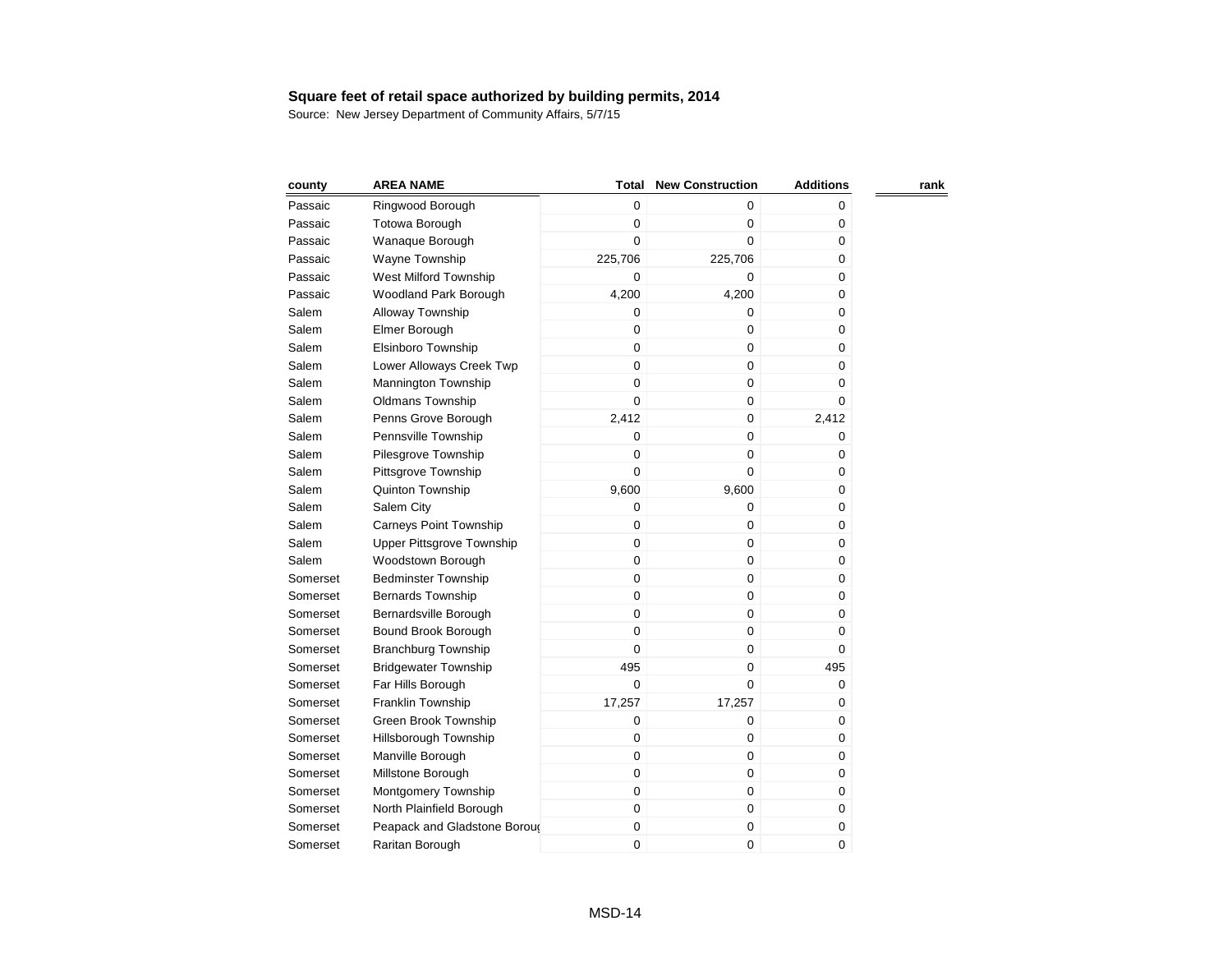| county   | <b>AREA NAME</b>              | Total       | <b>New Construction</b> | <b>Additions</b> | rank |
|----------|-------------------------------|-------------|-------------------------|------------------|------|
| Passaic  | Ringwood Borough              | 0           | 0                       | 0                |      |
| Passaic  | <b>Totowa Borough</b>         | $\mathbf 0$ | $\mathbf 0$             | 0                |      |
| Passaic  | Wanaque Borough               | $\mathbf 0$ | $\pmb{0}$               | 0                |      |
| Passaic  | Wayne Township                | 225,706     | 225,706                 | 0                |      |
| Passaic  | West Milford Township         | $\mathbf 0$ | $\mathbf 0$             | 0                |      |
| Passaic  | Woodland Park Borough         | 4,200       | 4,200                   | 0                |      |
| Salem    | Alloway Township              | 0           | 0                       | 0                |      |
| Salem    | Elmer Borough                 | $\mathbf 0$ | $\mathbf 0$             | 0                |      |
| Salem    | Elsinboro Township            | $\mathbf 0$ | $\mathbf 0$             | 0                |      |
| Salem    | Lower Alloways Creek Twp      | $\mathbf 0$ | $\mathbf 0$             | 0                |      |
| Salem    | <b>Mannington Township</b>    | $\mathbf 0$ | $\pmb{0}$               | 0                |      |
| Salem    | Oldmans Township              | $\mathbf 0$ | $\mathbf 0$             | 0                |      |
| Salem    | Penns Grove Borough           | 2,412       | $\mathbf 0$             | 2,412            |      |
| Salem    | Pennsville Township           | $\mathbf 0$ | $\mathbf 0$             | 0                |      |
| Salem    | Pilesgrove Township           | $\mathbf 0$ | $\mathbf 0$             | 0                |      |
| Salem    | Pittsgrove Township           | $\mathbf 0$ | $\mathbf 0$             | $\pmb{0}$        |      |
| Salem    | Quinton Township              | 9,600       | 9,600                   | $\mathbf 0$      |      |
| Salem    | Salem City                    | $\mathbf 0$ | $\mathbf 0$             | 0                |      |
| Salem    | <b>Carneys Point Township</b> | $\mathbf 0$ | $\mathbf 0$             | 0                |      |
| Salem    | Upper Pittsgrove Township     | $\pmb{0}$   | $\pmb{0}$               | $\pmb{0}$        |      |
| Salem    | Woodstown Borough             | $\mathbf 0$ | $\mathbf 0$             | 0                |      |
| Somerset | <b>Bedminster Township</b>    | $\pmb{0}$   | $\mathbf 0$             | 0                |      |
| Somerset | <b>Bernards Township</b>      | $\mathbf 0$ | $\mathbf 0$             | 0                |      |
| Somerset | Bernardsville Borough         | $\mathbf 0$ | $\pmb{0}$               | 0                |      |
| Somerset | Bound Brook Borough           | $\mathbf 0$ | $\pmb{0}$               | 0                |      |
| Somerset | <b>Branchburg Township</b>    | $\mathbf 0$ | $\mathbf 0$             | 0                |      |
| Somerset | <b>Bridgewater Township</b>   | 495         | $\pmb{0}$               | 495              |      |
| Somerset | Far Hills Borough             | $\mathbf 0$ | $\mathbf 0$             | 0                |      |
| Somerset | Franklin Township             | 17,257      | 17,257                  | 0                |      |
| Somerset | Green Brook Township          | $\mathbf 0$ | $\pmb{0}$               | 0                |      |
| Somerset | Hillsborough Township         | $\mathbf 0$ | 0                       | 0                |      |
| Somerset | Manville Borough              | $\mathbf 0$ | 0                       | 0                |      |
| Somerset | Millstone Borough             | $\mathbf 0$ | 0                       | 0                |      |
| Somerset | Montgomery Township           | $\mathbf 0$ | $\mathbf 0$             | 0                |      |
| Somerset | North Plainfield Borough      | $\mathbf 0$ | $\pmb{0}$               | 0                |      |
| Somerset | Peapack and Gladstone Boroug  | $\pmb{0}$   | $\pmb{0}$               | $\pmb{0}$        |      |
| Somerset | Raritan Borough               | $\mathbf 0$ | 0                       | 0                |      |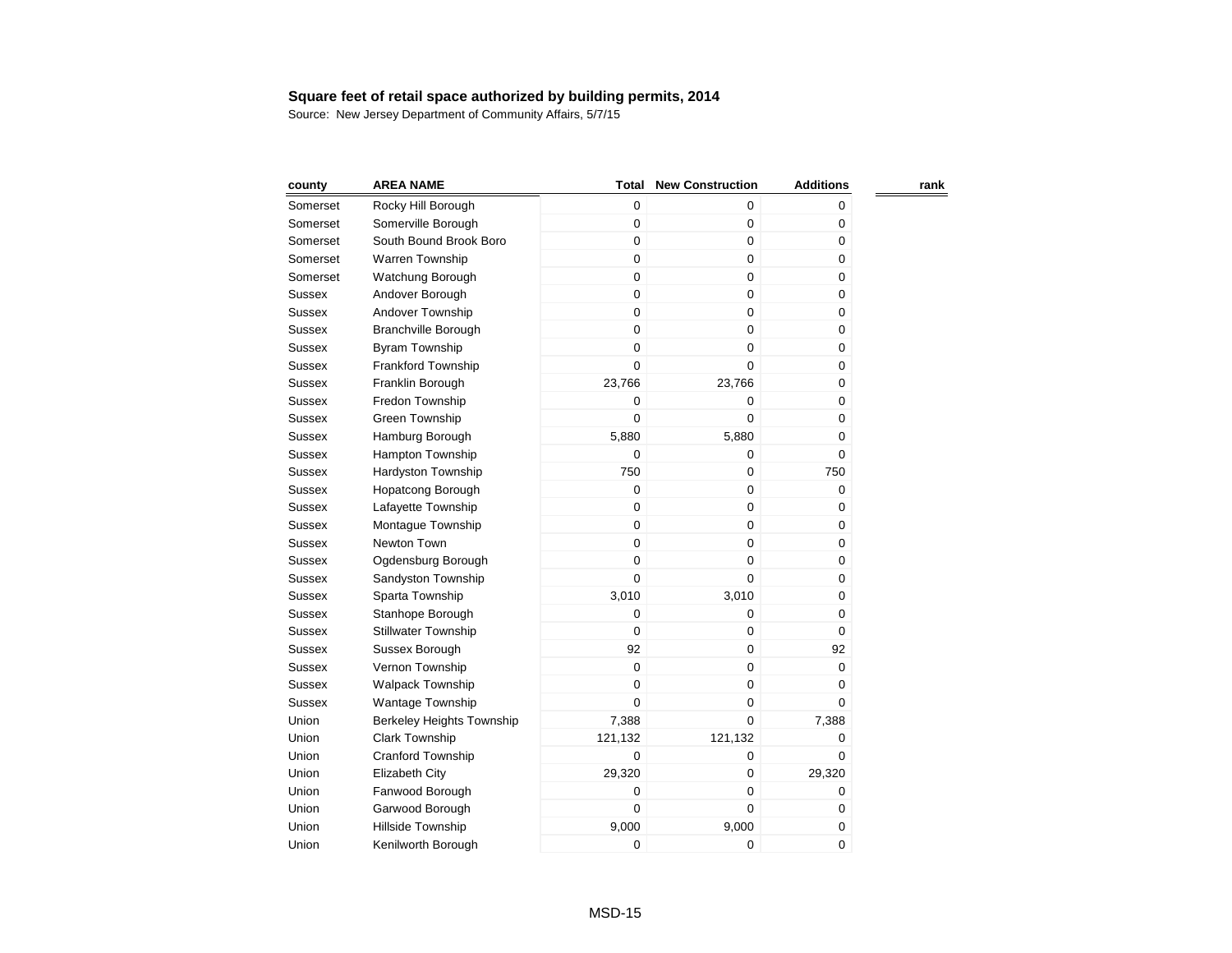| county        | <b>AREA NAME</b>                 | Total       | <b>New Construction</b> | <b>Additions</b> | rank |
|---------------|----------------------------------|-------------|-------------------------|------------------|------|
| Somerset      | Rocky Hill Borough               | 0           | 0                       | 0                |      |
| Somerset      | Somerville Borough               | 0           | 0                       | 0                |      |
| Somerset      | South Bound Brook Boro           | 0           | 0                       | 0                |      |
| Somerset      | Warren Township                  | 0           | 0                       | 0                |      |
| Somerset      | Watchung Borough                 | 0           | 0                       | 0                |      |
| Sussex        | Andover Borough                  | $\mathbf 0$ | 0                       | 0                |      |
| Sussex        | Andover Township                 | 0           | 0                       | 0                |      |
| Sussex        | Branchville Borough              | $\mathsf 0$ | 0                       | 0                |      |
| Sussex        | <b>Byram Township</b>            | $\mathbf 0$ | $\mathbf 0$             | 0                |      |
| Sussex        | <b>Frankford Township</b>        | $\mathbf 0$ | 0                       | 0                |      |
| Sussex        | Franklin Borough                 | 23,766      | 23,766                  | 0                |      |
| Sussex        | Fredon Township                  | $\mathbf 0$ | 0                       | 0                |      |
| Sussex        | Green Township                   | 0           | 0                       | 0                |      |
| Sussex        | Hamburg Borough                  | 5,880       | 5,880                   | 0                |      |
| Sussex        | <b>Hampton Township</b>          | $\mathbf 0$ | 0                       | 0                |      |
| Sussex        | Hardyston Township               | 750         | 0                       | 750              |      |
| Sussex        | Hopatcong Borough                | 0           | $\mathbf 0$             | 0                |      |
| Sussex        | Lafayette Township               | 0           | $\mathbf 0$             | 0                |      |
| Sussex        | Montague Township                | 0           | 0                       | 0                |      |
| Sussex        | Newton Town                      | 0           | 0                       | 0                |      |
| Sussex        | Ogdensburg Borough               | 0           | $\mathbf 0$             | 0                |      |
| Sussex        | Sandyston Township               | 0           | $\mathbf 0$             | 0                |      |
| Sussex        | Sparta Township                  | 3,010       | 3,010                   | 0                |      |
| Sussex        | Stanhope Borough                 | 0           | 0                       | 0                |      |
| Sussex        | <b>Stillwater Township</b>       | 0           | 0                       | 0                |      |
| Sussex        | Sussex Borough                   | 92          | 0                       | 92               |      |
| Sussex        | Vernon Township                  | 0           | 0                       | 0                |      |
| <b>Sussex</b> | <b>Walpack Township</b>          | 0           | 0                       | 0                |      |
| Sussex        | <b>Wantage Township</b>          | $\mathbf 0$ | 0                       | 0                |      |
| Union         | <b>Berkeley Heights Township</b> | 7,388       | 0                       | 7,388            |      |
| Union         | <b>Clark Township</b>            | 121,132     | 121,132                 | 0                |      |
| Union         | Cranford Township                | 0           | 0                       | 0                |      |
| Union         | <b>Elizabeth City</b>            | 29,320      | 0                       | 29,320           |      |
| Union         | Fanwood Borough                  | 0           | 0                       | 0                |      |
| Union         | Garwood Borough                  | 0           | 0                       | 0                |      |
| Union         | Hillside Township                | 9,000       | 9,000                   | 0                |      |
| Union         | Kenilworth Borough               | 0           | 0                       | 0                |      |